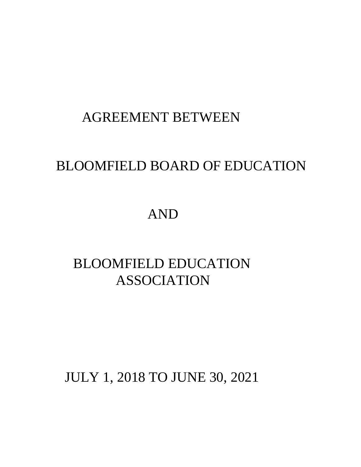# AGREEMENT BETWEEN

# BLOOMFIELD BOARD OF EDUCATION

# AND

# BLOOMFIELD EDUCATION ASSOCIATION

# JULY 1, 2018 TO JUNE 30, 2021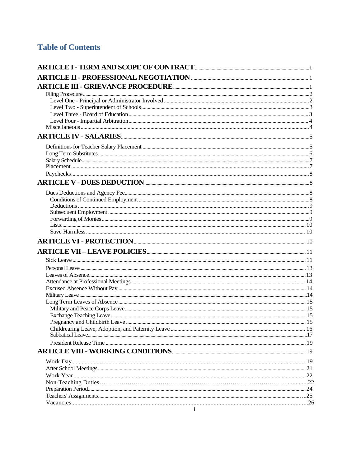# **Table of Contents**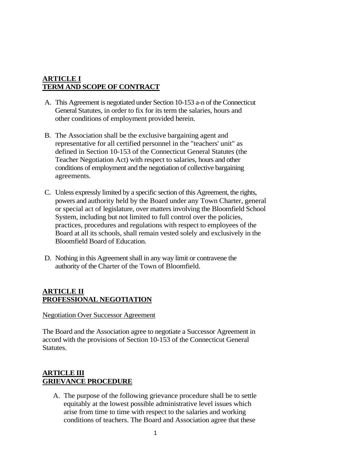## **ARTICLE I TERM AND SCOPE OF CONTRACT**

- A. This Agreement is negotiated under Section 10-153 a-n of the Connecticut General Statutes, in order to fix for its term the salaries, hours and other conditions of employment provided herein.
- B. The Association shall be the exclusive bargaining agent and representative for all certified personnel in the "teachers' unit" as defined in Section 10-153 of the Connecticut General Statutes (the Teacher Negotiation Act) with respect to salaries, hours and other conditions of employment and the negotiation of collective bargaining agreements.
- C. Unless expressly limited by a specific section of this Agreement, the rights, powers and authority held by the Board under any Town Charter, general or special act of legislature, over matters involving the Bloomfield School System, including but not limited to full control over the policies, practices, procedures and regulations with respect to employees of the Board at all its schools, shall remain vested solely and exclusively in the Bloomfield Board of Education.
- D. Nothing in this Agreement shall in any way limit or contravene the authority of the Charter of the Town of Bloomfield.

## **ARTICLE II PROFESSIONAL NEGOTIATION**

Negotiation Over Successor Agreement

The Board and the Association agree to negotiate a Successor Agreement in accord with the provisions of Section 10-153 of the Connecticut General Statutes.

## **ARTICLE III GRIEVANCE PROCEDURE**

A. The purpose of the following grievance procedure shall be to settle equitably at the lowest possible administrative level issues which arise from time to time with respect to the salaries and working conditions of teachers. The Board and Association agree that these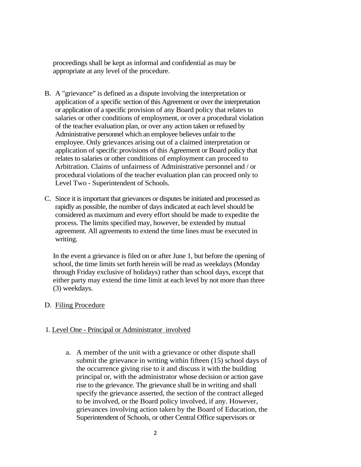proceedings shall be kept as informal and confidential as may be appropriate at any level of the procedure.

- B. A "grievance" is defined as a dispute involving the interpretation or application of a specific section of this Agreement or over the interpretation or application of a specific provision of any Board policy that relates to salaries or other conditions of employment, or over a procedural violation of the teacher evaluation plan, or over any action taken or refused by Administrative personnel which an employee believes unfair to the employee. Only grievances arising out of a claimed interpretation or application of specific provisions of this Agreement or Board policy that relates to salaries or other conditions of employment can proceed to Arbitration. Claims of unfairness of Administrative personnel and / or procedural violations of the teacher evaluation plan can proceed only to Level Two - Superintendent of Schools.
- C. Since it is important that grievances or disputes be initiated and processed as rapidly as possible, the number of days indicated at each level should be considered as maximum and every effort should be made to expedite the process. The limits specified may, however, be extended by mutual agreement. All agreements to extend the time lines must be executed in writing.

In the event a grievance is filed on or after June 1, but before the opening of school, the time limits set forth herein will be read as weekdays (Monday through Friday exclusive of holidays) rather than school days, except that either party may extend the time limit at each level by not more than three (3) weekdays.

## D. Filing Procedure

## 1. Level One - Principal or Administrator involved

a. A member of the unit with a grievance or other dispute shall submit the grievance in writing within fifteen (15) school days of the occurrence giving rise to it and discuss it with the building principal or, with the administrator whose decision or action gave rise to the grievance. The grievance shall be in writing and shall specify the grievance asserted, the section of the contract alleged to be involved, or the Board policy involved, if any. However, grievances involving action taken by the Board of Education, the Superintendent of Schools, or other Central Office supervisors or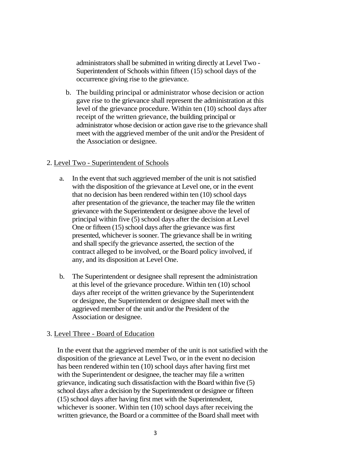administrators shall be submitted in writing directly at Level Two - Superintendent of Schools within fifteen (15) school days of the occurrence giving rise to the grievance.

b. The building principal or administrator whose decision or action gave rise to the grievance shall represent the administration at this level of the grievance procedure. Within ten (10) school days after receipt of the written grievance, the building principal or administrator whose decision or action gave rise to the grievance shall meet with the aggrieved member of the unit and/or the President of the Association or designee.

## 2. Level Two - Superintendent of Schools

- a. In the event that such aggrieved member of the unit is not satisfied with the disposition of the grievance at Level one, or in the event that no decision has been rendered within ten (10) school days after presentation of the grievance, the teacher may file the written grievance with the Superintendent or designee above the level of principal within five (5) school days after the decision at Level One or fifteen (15) school days after the grievance was first presented, whichever is sooner. The grievance shall be in writing and shall specify the grievance asserted, the section of the contract alleged to be involved, or the Board policy involved, if any, and its disposition at Level One.
- b. The Superintendent or designee shall represent the administration at this level of the grievance procedure. Within ten (10) school days after receipt of the written grievance by the Superintendent or designee, the Superintendent or designee shall meet with the aggrieved member of the unit and/or the President of the Association or designee.

## 3. Level Three - Board of Education

In the event that the aggrieved member of the unit is not satisfied with the disposition of the grievance at Level Two, or in the event no decision has been rendered within ten (10) school days after having first met with the Superintendent or designee, the teacher may file a written grievance, indicating such dissatisfaction with the Board within five (5) school days after a decision by the Superintendent or designee or fifteen (15) school days after having first met with the Superintendent, whichever is sooner. Within ten (10) school days after receiving the written grievance, the Board or a committee of the Board shall meet with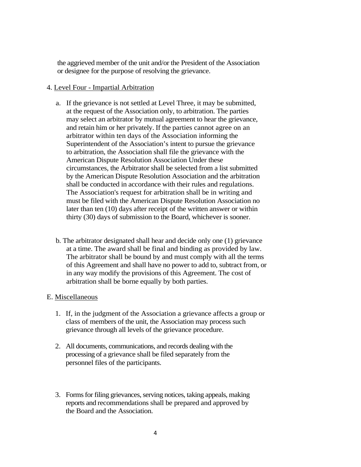the aggrieved member of the unit and/or the President of the Association or designee for the purpose of resolving the grievance.

#### 4. Level Four - Impartial Arbitration

- a. If the grievance is not settled at Level Three, it may be submitted, at the request of the Association only, to arbitration. The parties may select an arbitrator by mutual agreement to hear the grievance, and retain him or her privately. If the parties cannot agree on an arbitrator within ten days of the Association informing the Superintendent of the Association's intent to pursue the grievance to arbitration, the Association shall file the grievance with the American Dispute Resolution Association Under these circumstances, the Arbitrator shall be selected from a list submitted by the American Dispute Resolution Association and the arbitration shall be conducted in accordance with their rules and regulations. The Association's request for arbitration shall be in writing and must be filed with the American Dispute Resolution Association no later than ten (10) days after receipt of the written answer or within thirty (30) days of submission to the Board, whichever is sooner.
- b. The arbitrator designated shall hear and decide only one (1) grievance at a time. The award shall be final and binding as provided by law. The arbitrator shall be bound by and must comply with all the terms of this Agreement and shall have no power to add to, subtract from, or in any way modify the provisions of this Agreement. The cost of arbitration shall be borne equally by both parties.

#### E. Miscellaneous

- 1. If, in the judgment of the Association a grievance affects a group or class of members of the unit, the Association may process such grievance through all levels of the grievance procedure.
- 2. All documents, communications, and records dealing with the processing of a grievance shall be filed separately from the personnel files of the participants.
- 3. Forms for filing grievances, serving notices, taking appeals, making reports and recommendations shall be prepared and approved by the Board and the Association.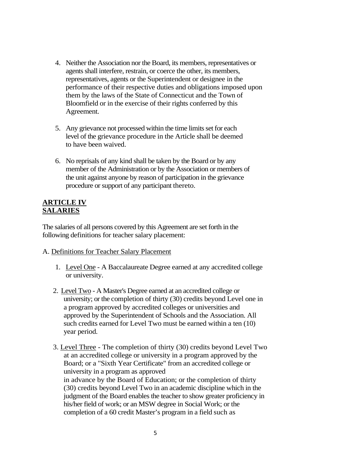- 4. Neither the Association nor the Board, its members, representatives or agents shall interfere, restrain, or coerce the other, its members, representatives, agents or the Superintendent or designee in the performance of their respective duties and obligations imposed upon them by the laws of the State of Connecticut and the Town of Bloomfield or in the exercise of their rights conferred by this Agreement.
- 5. Any grievance not processed within the time limits set for each level of the grievance procedure in the Article shall be deemed to have been waived.
- 6. No reprisals of any kind shall be taken by the Board or by any member of the Administration or by the Association or members of the unit against anyone by reason of participation in the grievance procedure or support of any participant thereto.

## **ARTICLE IV SALARIES**

The salaries of all persons covered by this Agreement are set forth in the following definitions for teacher salary placement:

## A. Definitions for Teacher Salary Placement

- 1. Level One A Baccalaureate Degree earned at any accredited college or university.
- 2. Level Two A Master's Degree earned at an accredited college or university; or the completion of thirty (30) credits beyond Level one in a program approved by accredited colleges or universities and approved by the Superintendent of Schools and the Association. All such credits earned for Level Two must be earned within a ten (10) year period.
- 3. Level Three The completion of thirty (30) credits beyond Level Two at an accredited college or university in a program approved by the Board; or a "Sixth Year Certificate" from an accredited college or university in a program as approved in advance by the Board of Education; or the completion of thirty (30) credits beyond Level Two in an academic discipline which in the judgment of the Board enables the teacher to show greater proficiency in his/her field of work; or an MSW degree in Social Work; or the completion of a 60 credit Master's program in a field such as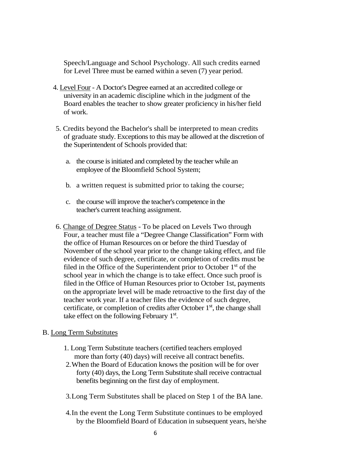Speech/Language and School Psychology. All such credits earned for Level Three must be earned within a seven (7) year period.

- 4. Level Four A Doctor's Degree earned at an accredited college or university in an academic discipline which in the judgment of the Board enables the teacher to show greater proficiency in his/her field of work.
- 5. Credits beyond the Bachelor's shall be interpreted to mean credits of graduate study. Exceptions to this may be allowed at the discretion of the Superintendent of Schools provided that:
	- a. the course is initiated and completed by the teacher while an employee of the Bloomfield School System;
	- b. a written request is submitted prior to taking the course;
	- c. the course will improve the teacher's competence in the teacher's current teaching assignment.
- 6. Change of Degree Status To be placed on Levels Two through Four, a teacher must file a "Degree Change Classification" Form with the office of Human Resources on or before the third Tuesday of November of the school year prior to the change taking effect, and file evidence of such degree, certificate, or completion of credits must be filed in the Office of the Superintendent prior to October 1<sup>st</sup> of the school year in which the change is to take effect. Once such proof is filed in the Office of Human Resources prior to October 1st, payments on the appropriate level will be made retroactive to the first day of the teacher work year. If a teacher files the evidence of such degree, certificate, or completion of credits after October  $1<sup>st</sup>$ , the change shall take effect on the following February 1<sup>st</sup>.

## B. Long Term Substitutes

- 1. Long Term Substitute teachers (certified teachers employed more than forty (40) days) will receive all contract benefits.
- 2.When the Board of Education knows the position will be for over forty (40) days, the Long Term Substitute shall receive contractual benefits beginning on the first day of employment.
- 3.Long Term Substitutes shall be placed on Step 1 of the BA lane.
- 4.In the event the Long Term Substitute continues to be employed by the Bloomfield Board of Education in subsequent years, he/she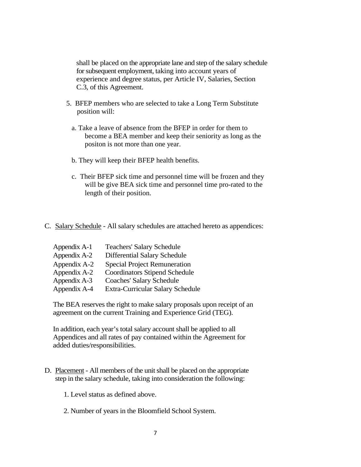shall be placed on the appropriate lane and step of the salary schedule for subsequent employment, taking into account years of experience and degree status, per Article IV, Salaries, Section C.3, of this Agreement.

- 5. BFEP members who are selected to take a Long Term Substitute position will:
	- a. Take a leave of absence from the BFEP in order for them to become a BEA member and keep their seniority as long as the positon is not more than one year.
	- b. They will keep their BFEP health benefits.
	- c. Their BFEP sick time and personnel time will be frozen and they will be give BEA sick time and personnel time pro-rated to the length of their position.
- C. Salary Schedule All salary schedules are attached hereto as appendices:

| Appendix A-1 | <b>Teachers' Salary Schedule</b>     |
|--------------|--------------------------------------|
| Appendix A-2 | Differential Salary Schedule         |
| Appendix A-2 | <b>Special Project Remuneration</b>  |
| Appendix A-2 | <b>Coordinators Stipend Schedule</b> |
| Appendix A-3 | <b>Coaches' Salary Schedule</b>      |
| Appendix A-4 | Extra-Curricular Salary Schedule     |

The BEA reserves the right to make salary proposals upon receipt of an agreement on the current Training and Experience Grid (TEG).

In addition, each year's total salary account shall be applied to all Appendices and all rates of pay contained within the Agreement for added duties/responsibilities.

- D. Placement All members of the unit shall be placed on the appropriate step in the salary schedule, taking into consideration the following:
	- 1. Level status as defined above.
	- 2. Number of years in the Bloomfield School System.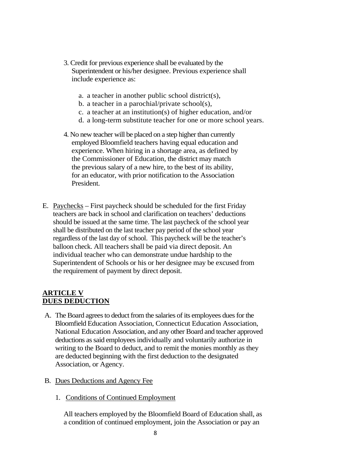- 3. Credit for previous experience shall be evaluated by the Superintendent or his/her designee. Previous experience shall include experience as:
	- a. a teacher in another public school district(s),
	- b. a teacher in a parochial/private school(s),
	- c. a teacher at an institution(s) of higher education, and/or
	- d. a long-term substitute teacher for one or more school years.
- 4. No new teacher will be placed on a step higher than currently employed Bloomfield teachers having equal education and experience. When hiring in a shortage area, as defined by the Commissioner of Education, the district may match the previous salary of a new hire, to the best of its ability, for an educator, with prior notification to the Association President.
- E. Paychecks First paycheck should be scheduled for the first Friday teachers are back in school and clarification on teachers' deductions should be issued at the same time. The last paycheck of the school year shall be distributed on the last teacher pay period of the school year regardless of the last day of school. This paycheck will be the teacher's balloon check. All teachers shall be paid via direct deposit. An individual teacher who can demonstrate undue hardship to the Superintendent of Schools or his or her designee may be excused from the requirement of payment by direct deposit.

## **ARTICLE V DUES DEDUCTION**

- A. The Board agrees to deduct from the salaries of its employees dues for the Bloomfield Education Association, Connecticut Education Association, National Education Association, and any other Board and teacher approved deductions as said employees individually and voluntarily authorize in writing to the Board to deduct, and to remit the monies monthly as they are deducted beginning with the first deduction to the designated Association, or Agency.
- B. Dues Deductions and Agency Fee
	- 1. Conditions of Continued Employment

All teachers employed by the Bloomfield Board of Education shall, as a condition of continued employment, join the Association or pay an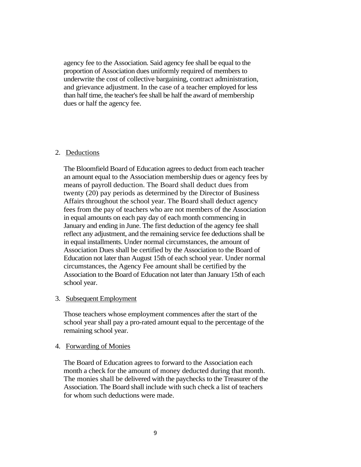agency fee to the Association. Said agency fee shall be equal to the proportion of Association dues uniformly required of members to underwrite the cost of collective bargaining, contract administration, and grievance adjustment. In the case of a teacher employed for less than half time, the teacher's fee shall be half the award of membership dues or half the agency fee.

#### 2. Deductions

The Bloomfield Board of Education agrees to deduct from each teacher an amount equal to the Association membership dues or agency fees by means of payroll deduction. The Board shall deduct dues from twenty (20) pay periods as determined by the Director of Business Affairs throughout the school year. The Board shall deduct agency fees from the pay of teachers who are not members of the Association in equal amounts on each pay day of each month commencing in January and ending in June. The first deduction of the agency fee shall reflect any adjustment, and the remaining service fee deductions shall be in equal installments. Under normal circumstances, the amount of Association Dues shall be certified by the Association to the Board of Education not later than August 15th of each school year. Under normal circumstances, the Agency Fee amount shall be certified by the Association to the Board of Education not later than January 15th of each school year.

#### 3. Subsequent Employment

Those teachers whose employment commences after the start of the school year shall pay a pro-rated amount equal to the percentage of the remaining school year.

#### 4. Forwarding of Monies

The Board of Education agrees to forward to the Association each month a check for the amount of money deducted during that month. The monies shall be delivered with the paychecks to the Treasurer of the Association. The Board shall include with such check a list of teachers for whom such deductions were made.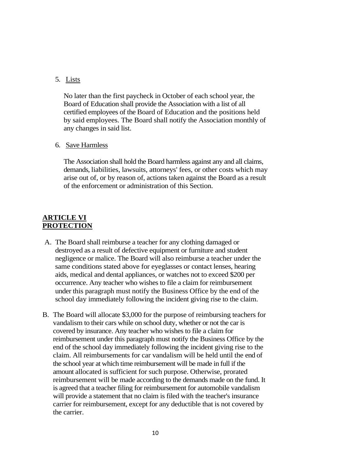#### 5. Lists

No later than the first paycheck in October of each school year, the Board of Education shall provide the Association with a list of all certified employees of the Board of Education and the positions held by said employees. The Board shall notify the Association monthly of any changes in said list.

#### 6. Save Harmless

The Association shall hold the Board harmless against any and all claims, demands, liabilities, lawsuits, attorneys' fees, or other costs which may arise out of, or by reason of, actions taken against the Board as a result of the enforcement or administration of this Section.

## **ARTICLE VI PROTECTION**

- A. The Board shall reimburse a teacher for any clothing damaged or destroyed as a result of defective equipment or furniture and student negligence or malice. The Board will also reimburse a teacher under the same conditions stated above for eyeglasses or contact lenses, hearing aids, medical and dental appliances, or watches not to exceed \$200 per occurrence. Any teacher who wishes to file a claim for reimbursement under this paragraph must notify the Business Office by the end of the school day immediately following the incident giving rise to the claim.
- B. The Board will allocate \$3,000 for the purpose of reimbursing teachers for vandalism to their cars while on school duty, whether or not the car is covered by insurance. Any teacher who wishes to file a claim for reimbursement under this paragraph must notify the Business Office by the end of the school day immediately following the incident giving rise to the claim. All reimbursements for car vandalism will be held until the end of the school year at which time reimbursement will be made in full if the amount allocated is sufficient for such purpose. Otherwise, prorated reimbursement will be made according to the demands made on the fund. It is agreed that a teacher filing for reimbursement for automobile vandalism will provide a statement that no claim is filed with the teacher's insurance carrier for reimbursement, except for any deductible that is not covered by the carrier.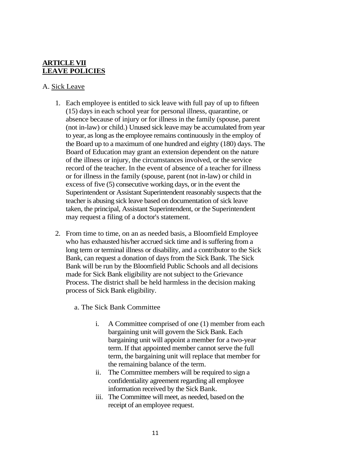## **ARTICLE VII LEAVE POLICIES**

## A. Sick Leave

- 1. Each employee is entitled to sick leave with full pay of up to fifteen (15) days in each school year for personal illness, quarantine, or absence because of injury or for illness in the family (spouse, parent (not in-law) or child.) Unused sick leave may be accumulated from year to year, as long as the employee remains continuously in the employ of the Board up to a maximum of one hundred and eighty (180) days. The Board of Education may grant an extension dependent on the nature of the illness or injury, the circumstances involved, or the service record of the teacher. In the event of absence of a teacher for illness or for illness in the family (spouse, parent (not in-law) or child in excess of five (5) consecutive working days, or in the event the Superintendent or Assistant Superintendent reasonably suspects that the teacher is abusing sick leave based on documentation of sick leave taken, the principal, Assistant Superintendent, or the Superintendent may request a filing of a doctor's statement.
- 2. From time to time, on an as needed basis, a Bloomfield Employee who has exhausted his/her accrued sick time and is suffering from a long term or terminal illness or disability, and a contributor to the Sick Bank, can request a donation of days from the Sick Bank. The Sick Bank will be run by the Bloomfield Public Schools and all decisions made for Sick Bank eligibility are not subject to the Grievance Process. The district shall be held harmless in the decision making process of Sick Bank eligibility.
	- a. The Sick Bank Committee
		- i. A Committee comprised of one (1) member from each bargaining unit will govern the Sick Bank. Each bargaining unit will appoint a member for a two-year term. If that appointed member cannot serve the full term, the bargaining unit will replace that member for the remaining balance of the term.
		- ii. The Committee members will be required to sign a confidentiality agreement regarding all employee information received by the Sick Bank.
		- iii. The Committee will meet, as needed, based on the receipt of an employee request.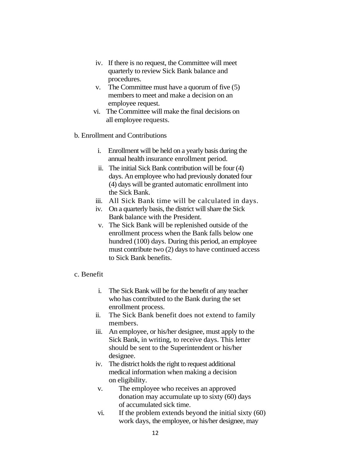- iv. If there is no request, the Committee will meet quarterly to review Sick Bank balance and procedures.
- v. The Committee must have a quorum of five (5) members to meet and make a decision on an employee request.
- vi. The Committee will make the final decisions on all employee requests.
- b. Enrollment and Contributions
	- i. Enrollment will be held on a yearly basis during the annual health insurance enrollment period.
	- ii. The initial Sick Bank contribution will be four (4) days. An employee who had previously donated four (4) days will be granted automatic enrollment into the Sick Bank.
	- iii. All Sick Bank time will be calculated in days.
	- iv. On a quarterly basis, the district will share the Sick Bank balance with the President.
	- v. The Sick Bank will be replenished outside of the enrollment process when the Bank falls below one hundred (100) days. During this period, an employee must contribute two (2) days to have continued access to Sick Bank benefits.

## c. Benefit

- i. The Sick Bank will be for the benefit of any teacher who has contributed to the Bank during the set enrollment process.
- ii. The Sick Bank benefit does not extend to family members.
- iii. An employee, or his/her designee, must apply to the Sick Bank, in writing, to receive days. This letter should be sent to the Superintendent or his/her designee.
- iv. The district holds the right to request additional medical information when making a decision on eligibility.
- v. The employee who receives an approved donation may accumulate up to sixty (60) days of accumulated sick time.
- vi. If the problem extends beyond the initial sixty (60) work days, the employee, or his/her designee, may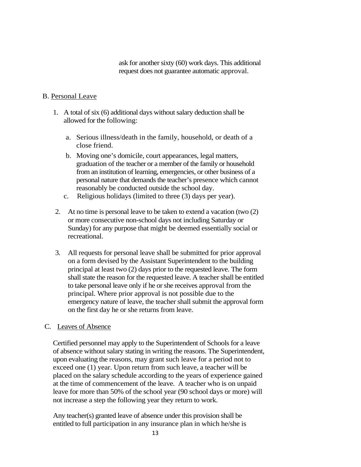ask for another sixty (60) work days. This additional request does not guarantee automatic approval.

#### B. Personal Leave

- 1. A total of six (6) additional days without salary deduction shall be allowed for the following:
	- a. Serious illness/death in the family, household, or death of a close friend.
	- b. Moving one's domicile, court appearances, legal matters, graduation of the teacher or a member of the family or household from an institution of learning, emergencies, or other business of a personal nature that demands the teacher's presence which cannot reasonably be conducted outside the school day.
	- c. Religious holidays (limited to three (3) days per year).
- 2. At no time is personal leave to be taken to extend a vacation (two (2) or more consecutive non-school days not including Saturday or Sunday) for any purpose that might be deemed essentially social or recreational.
- 3. All requests for personal leave shall be submitted for prior approval on a form devised by the Assistant Superintendent to the building principal at least two (2) days prior to the requested leave. The form shall state the reason for the requested leave. A teacher shall be entitled to take personal leave only if he or she receives approval from the principal. Where prior approval is not possible due to the emergency nature of leave, the teacher shall submit the approval form on the first day he or she returns from leave.

#### C. Leaves of Absence

Certified personnel may apply to the Superintendent of Schools for a leave of absence without salary stating in writing the reasons. The Superintendent, upon evaluating the reasons, may grant such leave for a period not to exceed one (1) year. Upon return from such leave, a teacher will be placed on the salary schedule according to the years of experience gained at the time of commencement of the leave. A teacher who is on unpaid leave for more than 50% of the school year (90 school days or more) will not increase a step the following year they return to work.

Any teacher(s) granted leave of absence under this provision shall be entitled to full participation in any insurance plan in which he/she is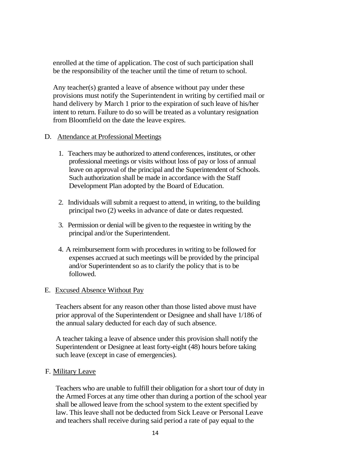enrolled at the time of application. The cost of such participation shall be the responsibility of the teacher until the time of return to school.

Any teacher(s) granted a leave of absence without pay under these provisions must notify the Superintendent in writing by certified mail or hand delivery by March 1 prior to the expiration of such leave of his/her intent to return. Failure to do so will be treated as a voluntary resignation from Bloomfield on the date the leave expires.

## D. Attendance at Professional Meetings

- 1. Teachers may be authorized to attend conferences, institutes, or other professional meetings or visits without loss of pay or loss of annual leave on approval of the principal and the Superintendent of Schools. Such authorization shall be made in accordance with the Staff Development Plan adopted by the Board of Education.
- 2. Individuals will submit a request to attend, in writing, to the building principal two (2) weeks in advance of date or dates requested.
- 3. Permission or denial will be given to the requestee in writing by the principal and/or the Superintendent.
- 4. A reimbursement form with procedures in writing to be followed for expenses accrued at such meetings will be provided by the principal and/or Superintendent so as to clarify the policy that is to be followed.

## E. Excused Absence Without Pay

Teachers absent for any reason other than those listed above must have prior approval of the Superintendent or Designee and shall have 1/186 of the annual salary deducted for each day of such absence.

A teacher taking a leave of absence under this provision shall notify the Superintendent or Designee at least forty-eight (48) hours before taking such leave (except in case of emergencies).

## F. Military Leave

Teachers who are unable to fulfill their obligation for a short tour of duty in the Armed Forces at any time other than during a portion of the school year shall be allowed leave from the school system to the extent specified by law. This leave shall not be deducted from Sick Leave or Personal Leave and teachers shall receive during said period a rate of pay equal to the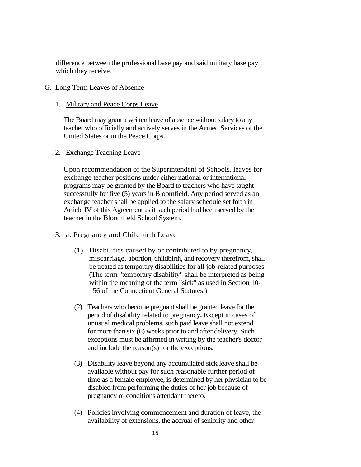difference between the professional base pay and said military base pay which they receive.

## G. Long Term Leaves of Absence

## 1. Military and Peace Corps Leave

The Board may grant a written leave of absence without salary to any teacher who officially and actively serves in the Armed Services of the United States or in the Peace Corps.

## 2. Exchange Teaching Leave

Upon recommendation of the Superintendent of Schools, leaves for exchange teacher positions under either national or international programs may be granted by the Board to teachers who have taught successfully for five (5) years in Bloomfield. Any period served as an exchange teacher shall be applied to the salary schedule set forth in Article IV of this Agreement as if such period had been served by the teacher in the Bloomfield School System.

## 3. a. Pregnancy and Childbirth Leave

- (1) Disabilities caused by or contributed to by pregnancy, miscarriage, abortion, childbirth, and recovery therefrom, shall be treated as temporary disabilities for all job-related purposes. (The term "temporary disability" shall be interpreted as being within the meaning of the term "sick" as used in Section 10- 156 of the Connecticut General Statutes.)
- (2) Teachers who become pregnant shall be granted leave for the period of disability related to pregnancy**.** Except in cases of unusual medical problems, such paid leave shall not extend for more than six (6) weeks prior to and after delivery. Such exceptions must be affirmed in writing by the teacher's doctor and include the reason(s) for the exceptions.
- (3) Disability leave beyond any accumulated sick leave shall be available without pay for such reasonable further period of time as a female employee, is determined by her physician to be disabled from performing the duties of her job because of pregnancy or conditions attendant thereto.
- (4) Policies involving commencement and duration of leave, the availability of extensions, the accrual of seniority and other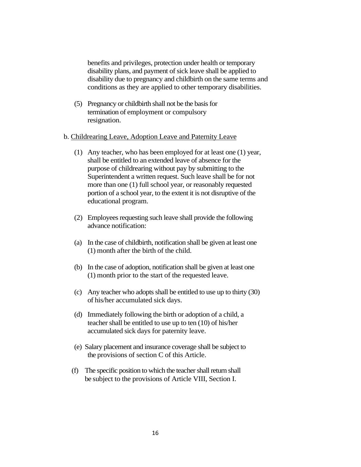benefits and privileges, protection under health or temporary disability plans, and payment of sick leave shall be applied to disability due to pregnancy and childbirth on the same terms and conditions as they are applied to other temporary disabilities.

(5) Pregnancy or childbirth shall not be the basis for termination of employment or compulsory resignation.

#### b. Childrearing Leave, Adoption Leave and Paternity Leave

- (1) Any teacher, who has been employed for at least one (1) year, shall be entitled to an extended leave of absence for the purpose of childrearing without pay by submitting to the Superintendent a written request. Such leave shall be for not more than one (1) full school year, or reasonably requested portion of a school year, to the extent it is not disruptive of the educational program.
- (2) Employees requesting such leave shall provide the following advance notification:
- (a) In the case of childbirth, notification shall be given at least one (1) month after the birth of the child.
- (b) In the case of adoption, notification shall be given at least one (1) month prior to the start of the requested leave.
- (c) Any teacher who adopts shall be entitled to use up to thirty (30) of his/her accumulated sick days.
- (d) Immediately following the birth or adoption of a child, a teacher shall be entitled to use up to ten (10) of his/her accumulated sick days for paternity leave.
- (e) Salary placement and insurance coverage shall be subject to the provisions of section C of this Article.
- (f) The specific position to which the teacher shall return shall be subject to the provisions of Article VIII, Section I.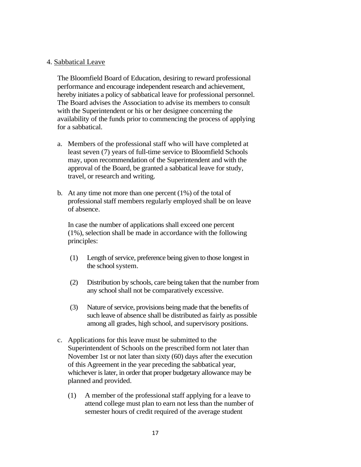#### 4. Sabbatical Leave

The Bloomfield Board of Education, desiring to reward professional performance and encourage independent research and achievement, hereby initiates a policy of sabbatical leave for professional personnel. The Board advises the Association to advise its members to consult with the Superintendent or his or her designee concerning the availability of the funds prior to commencing the process of applying for a sabbatical.

- a. Members of the professional staff who will have completed at least seven (7) years of full-time service to Bloomfield Schools may, upon recommendation of the Superintendent and with the approval of the Board, be granted a sabbatical leave for study, travel, or research and writing.
- b. At any time not more than one percent (1%) of the total of professional staff members regularly employed shall be on leave of absence.

In case the number of applications shall exceed one percent (1%), selection shall be made in accordance with the following principles:

- (1) Length of service, preference being given to those longest in the school system.
- (2) Distribution by schools, care being taken that the number from any school shall not be comparatively excessive.
- (3) Nature of service, provisions being made that the benefits of such leave of absence shall be distributed as fairly as possible among all grades, high school, and supervisory positions.
- c. Applications for this leave must be submitted to the Superintendent of Schools on the prescribed form not later than November 1st or not later than sixty (60) days after the execution of this Agreement in the year preceding the sabbatical year, whichever is later, in order that proper budgetary allowance may be planned and provided.
	- (1) A member of the professional staff applying for a leave to attend college must plan to earn not less than the number of semester hours of credit required of the average student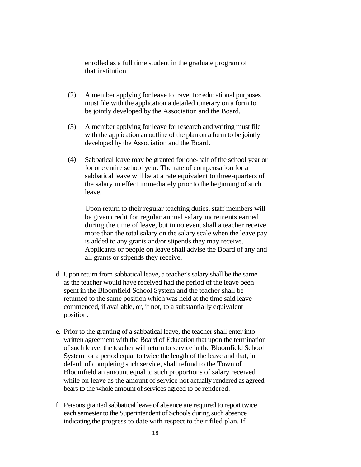enrolled as a full time student in the graduate program of that institution.

- (2) A member applying for leave to travel for educational purposes must file with the application a detailed itinerary on a form to be jointly developed by the Association and the Board.
- (3) A member applying for leave for research and writing must file with the application an outline of the plan on a form to be jointly developed by the Association and the Board.
- (4) Sabbatical leave may be granted for one-half of the school year or for one entire school year. The rate of compensation for a sabbatical leave will be at a rate equivalent to three-quarters of the salary in effect immediately prior to the beginning of such leave.

Upon return to their regular teaching duties, staff members will be given credit for regular annual salary increments earned during the time of leave, but in no event shall a teacher receive more than the total salary on the salary scale when the leave pay is added to any grants and/or stipends they may receive. Applicants or people on leave shall advise the Board of any and all grants or stipends they receive.

- d. Upon return from sabbatical leave, a teacher's salary shall be the same as the teacher would have received had the period of the leave been spent in the Bloomfield School System and the teacher shall be returned to the same position which was held at the time said leave commenced, if available, or, if not, to a substantially equivalent position.
- e. Prior to the granting of a sabbatical leave, the teacher shall enter into written agreement with the Board of Education that upon the termination of such leave, the teacher will return to service in the Bloomfield School System for a period equal to twice the length of the leave and that, in default of completing such service, shall refund to the Town of Bloomfield an amount equal to such proportions of salary received while on leave as the amount of service not actually rendered as agreed bears to the whole amount of services agreed to be rendered.
- f. Persons granted sabbatical leave of absence are required to report twice each semester to the Superintendent of Schools during such absence indicating the progress to date with respect to their filed plan. If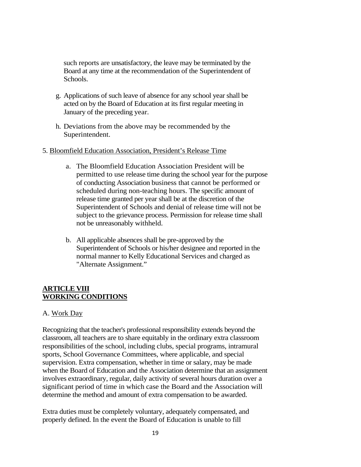such reports are unsatisfactory, the leave may be terminated by the Board at any time at the recommendation of the Superintendent of Schools.

- g. Applications of such leave of absence for any school year shall be acted on by the Board of Education at its first regular meeting in January of the preceding year.
- h. Deviations from the above may be recommended by the Superintendent.

#### 5. Bloomfield Education Association, President's Release Time

- a. The Bloomfield Education Association President will be permitted to use release time during the school year for the purpose of conducting Association business that cannot be performed or scheduled during non-teaching hours. The specific amount of release time granted per year shall be at the discretion of the Superintendent of Schools and denial of release time will not be subject to the grievance process. Permission for release time shall not be unreasonably withheld.
- b. All applicable absences shall be pre-approved by the Superintendent of Schools or his/her designee and reported in the normal manner to Kelly Educational Services and charged as "Alternate Assignment."

## **ARTICLE VIII WORKING CONDITIONS**

## A. Work Day

Recognizing that the teacher's professional responsibility extends beyond the classroom, all teachers are to share equitably in the ordinary extra classroom responsibilities of the school, including clubs, special programs, intramural sports, School Governance Committees, where applicable, and special supervision. Extra compensation, whether in time or salary, may be made when the Board of Education and the Association determine that an assignment involves extraordinary, regular, daily activity of several hours duration over a significant period of time in which case the Board and the Association will determine the method and amount of extra compensation to be awarded.

Extra duties must be completely voluntary, adequately compensated, and properly defined. In the event the Board of Education is unable to fill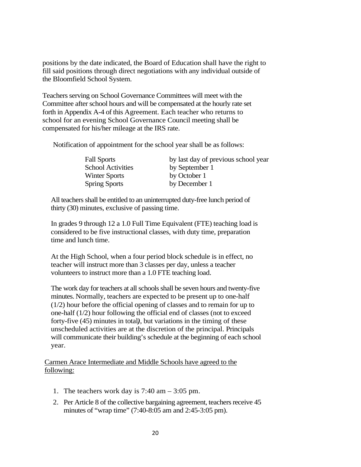positions by the date indicated, the Board of Education shall have the right to fill said positions through direct negotiations with any individual outside of the Bloomfield School System.

Teachers serving on School Governance Committees will meet with the Committee after school hours and will be compensated at the hourly rate set forth in Appendix A-4 of this Agreement. Each teacher who returns to school for an evening School Governance Council meeting shall be compensated for his/her mileage at the IRS rate.

Notification of appointment for the school year shall be as follows:

| <b>Fall Sports</b>       | by last day of previous school year |
|--------------------------|-------------------------------------|
| <b>School Activities</b> | by September 1                      |
| Winter Sports            | by October 1                        |
| <b>Spring Sports</b>     | by December 1                       |

All teachers shall be entitled to an uninterrupted duty-free lunch period of thirty (30) minutes, exclusive of passing time.

In grades 9 through 12 a 1.0 Full Time Equivalent (FTE) teaching load is considered to be five instructional classes, with duty time, preparation time and lunch time.

At the High School, when a four period block schedule is in effect, no teacher will instruct more than 3 classes per day, unless a teacher volunteers to instruct more than a 1.0 FTE teaching load.

The work day for teachers at all schools shall be seven hours and twenty-five minutes. Normally, teachers are expected to be present up to one-half (1/2) hour before the official opening of classes and to remain for up to one-half (1/2) hour following the official end of classes (not to exceed forty-five (45) minutes in total*)*, but variations in the timing of these unscheduled activities are at the discretion of the principal. Principals will communicate their building's schedule at the beginning of each school year.

Carmen Arace Intermediate and Middle Schools have agreed to the following:

- 1. The teachers work day is  $7:40 \text{ am} 3:05 \text{ pm}$ .
- 2. Per Article 8 of the collective bargaining agreement, teachers receive 45 minutes of "wrap time" (7:40-8:05 am and 2:45-3:05 pm).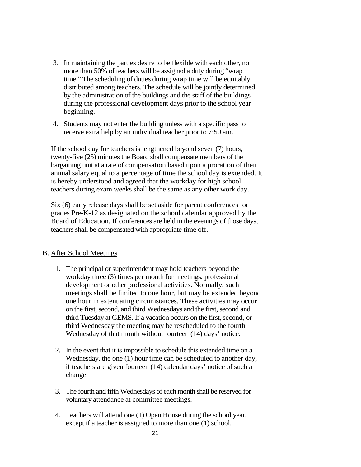- 3. In maintaining the parties desire to be flexible with each other, no more than 50% of teachers will be assigned a duty during "wrap time." The scheduling of duties during wrap time will be equitably distributed among teachers. The schedule will be jointly determined by the administration of the buildings and the staff of the buildings during the professional development days prior to the school year beginning.
- 4. Students may not enter the building unless with a specific pass to receive extra help by an individual teacher prior to 7:50 am.

If the school day for teachers is lengthened beyond seven (7) hours, twenty-five  $(25)$  minutes the Board shall compensate members of the bargaining unit at a rate of compensation based upon a proration of their annual salary equal to a percentage of time the school day is extended. It is hereby understood and agreed that the workday for high school teachers during exam weeks shall be the same as any other work day.

Six (6) early release days shall be set aside for parent conferences for grades Pre-K-12 as designated on the school calendar approved by the Board of Education. If conferences are held in the evenings of those days, teachers shall be compensated with appropriate time off.

## B. After School Meetings

- 1. The principal or superintendent may hold teachers beyond the workday three (3) times per month for meetings, professional development or other professional activities. Normally, such meetings shall be limited to one hour, but may be extended beyond one hour in extenuating circumstances. These activities may occur on the first, second, and third Wednesdays and the first, second and third Tuesday at GEMS. If a vacation occurs on the first, second, or third Wednesday the meeting may be rescheduled to the fourth Wednesday of that month without fourteen (14) days' notice.
- 2. In the event that it is impossible to schedule this extended time on a Wednesday, the one (1) hour time can be scheduled to another day, if teachers are given fourteen (14) calendar days' notice of such a change.
- 3. The fourth and fifth Wednesdays of each month shall be reserved for voluntary attendance at committee meetings.
- 4. Teachers will attend one (1) Open House during the school year, except if a teacher is assigned to more than one (1) school.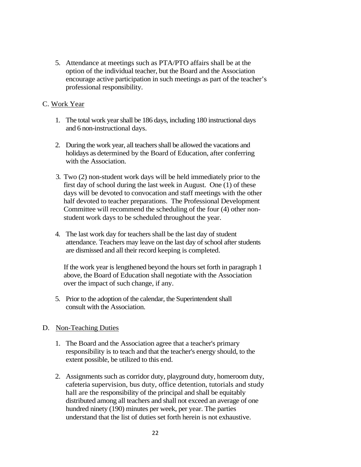5. Attendance at meetings such as PTA/PTO affairs shall be at the option of the individual teacher, but the Board and the Association encourage active participation in such meetings as part of the teacher's professional responsibility.

## C. Work Year

- 1. The total work year shall be 186 days, including 180 instructional days and 6 non-instructional days.
- 2. During the work year, all teachers shall be allowed the vacations and holidays as determined by the Board of Education, after conferring with the Association.
- 3. Two (2) non-student work days will be held immediately prior to the first day of school during the last week in August. One (1) of these days will be devoted to convocation and staff meetings with the other half devoted to teacher preparations. The Professional Development Committee will recommend the scheduling of the four (4) other nonstudent work days to be scheduled throughout the year.
- 4. The last work day for teachers shall be the last day of student attendance. Teachers may leave on the last day of school after students are dismissed and all their record keeping is completed.

If the work year is lengthened beyond the hours set forth in paragraph 1 above, the Board of Education shall negotiate with the Association over the impact of such change, if any.

5. Prior to the adoption of the calendar, the Superintendent shall consult with the Association.

## D. Non-Teaching Duties

- 1. The Board and the Association agree that a teacher's primary responsibility is to teach and that the teacher's energy should, to the extent possible, be utilized to this end.
- 2. Assignments such as corridor duty, playground duty, homeroom duty, cafeteria supervision, bus duty, office detention, tutorials and study hall are the responsibility of the principal and shall be equitably distributed among all teachers and shall not exceed an average of one hundred ninety (190) minutes per week, per year. The parties understand that the list of duties set forth herein is not exhaustive.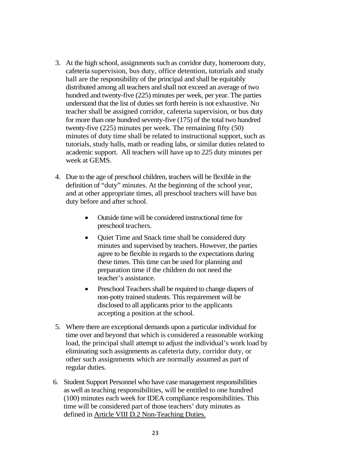- 3. At the high school, assignments such as corridor duty, homeroom duty, cafeteria supervision, bus duty, office detention, tutorials and study hall are the responsibility of the principal and shall be equitably distributed among all teachers and shall not exceed an average of two hundred and twenty-five (225) minutes per week, per year. The parties understand that the list of duties set forth herein is not exhaustive. No teacher shall be assigned corridor, cafeteria supervision, or bus duty for more than one hundred seventy-five (175) of the total two hundred twenty-five (225) minutes per week. The remaining fifty (50) minutes of duty time shall be related to instructional support, such as tutorials, study halls, math or reading labs, or similar duties related to academic support. All teachers will have up to 225 duty minutes per week at GEMS.
- 4. Due to the age of preschool children, teachers will be flexible in the definition of "duty" minutes. At the beginning of the school year, and at other appropriate times, all preschool teachers will have bus duty before and after school.
	- Outside time will be considered instructional time for preschool teachers.
	- Ouiet Time and Snack time shall be considered duty minutes and supervised by teachers. However, the parties agree to be flexible in regards to the expectations during these times. This time can be used for planning and preparation time if the children do not need the teacher's assistance.
	- Preschool Teachers shall be required to change diapers of non-potty trained students. This requirement will be disclosed to all applicants prior to the applicants accepting a position at the school.
- 5. Where there are exceptional demands upon a particular individual for time over and beyond that which is considered a reasonable working load, the principal shall attempt to adjust the individual's work load by eliminating such assignments as cafeteria duty, corridor duty, or other such assignments which are normally assumed as part of regular duties.
- 6. Student Support Personnel who have case management responsibilities as well as teaching responsibilities, will be entitled to one hundred (100) minutes each week for IDEA compliance responsibilities. This time will be considered part of those teachers' duty minutes as defined in Article VIII D.2 Non-Teaching Duties.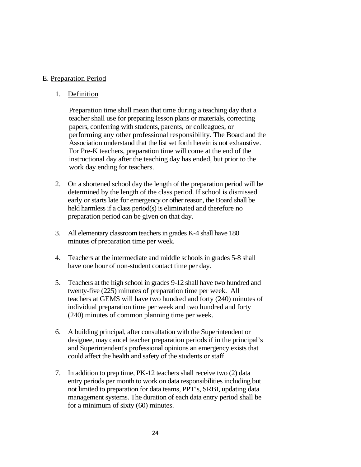#### E. Preparation Period

#### 1. Definition

Preparation time shall mean that time during a teaching day that a teacher shall use for preparing lesson plans or materials, correcting papers, conferring with students, parents, or colleagues, or performing any other professional responsibility. The Board and the Association understand that the list set forth herein is not exhaustive. For Pre-K teachers, preparation time will come at the end of the instructional day after the teaching day has ended, but prior to the work day ending for teachers.

- 2. On a shortened school day the length of the preparation period will be determined by the length of the class period. If school is dismissed early or starts late for emergency or other reason, the Board shall be held harmless if a class period(s) is eliminated and therefore no preparation period can be given on that day.
- 3. All elementary classroom teachers in grades K-4 shall have 180 minutes of preparation time per week.
- 4. Teachers at the intermediate and middle schools in grades 5-8 shall have one hour of non-student contact time per day.
- 5. Teachers at the high school in grades 9-12 shall have two hundred and twenty-five (225) minutes of preparation time per week. All teachers at GEMS will have two hundred and forty (240) minutes of individual preparation time per week and two hundred and forty (240) minutes of common planning time per week.
- 6. A building principal, after consultation with the Superintendent or designee, may cancel teacher preparation periods if in the principal's and Superintendent's professional opinions an emergency exists that could affect the health and safety of the students or staff.
- 7. In addition to prep time, PK-12 teachers shall receive two (2) data entry periods per month to work on data responsibilities including but not limited to preparation for data teams, PPT's, SRBI, updating data management systems. The duration of each data entry period shall be for a minimum of sixty (60) minutes.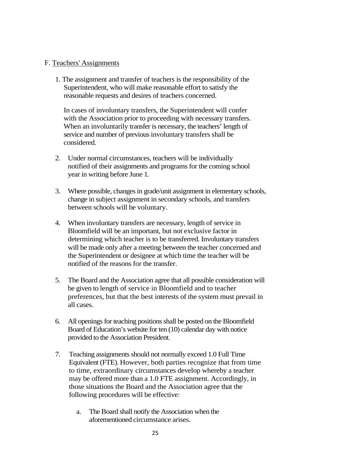#### F. Teachers' Assignments

1. The assignment and transfer of teachers is the responsibility of the Superintendent, who will make reasonable effort to satisfy the reasonable requests and desires of teachers concerned.

In cases of involuntary transfers, the Superintendent will confer with the Association prior to proceeding with necessary transfers. When an involuntarily transfer is necessary, the teachers' length of service and number of previous involuntary transfers shall be considered.

- 2. Under normal circumstances, teachers will be individually notified of their assignments and programs for the coming school year in writing before June 1*.*
- 3. Where possible, changes in grade/unit assignment in elementary schools, change in subject assignment in secondary schools, and transfers between schools will be voluntary.
- 4. When involuntary transfers are necessary, length of service in Bloomfield will be an important, but not exclusive factor in determining which teacher is to be transferred. Involuntary transfers will be made only after a meeting between the teacher concerned and the Superintendent or designee at which time the teacher will be notified of the reasons for the transfer.
- 5. The Board and the Association agree that all possible consideration will be given to length of service in Bloomfield and to teacher preferences, but that the best interests of the system must prevail in all cases.
- 6. All openings for teaching positions shall be posted on the Bloomfield Board of Education's website for ten (10) calendar day with notice provided to the Association President.
- 7. Teaching assignments should not normally exceed 1.0 Full Time Equivalent (FTE). However, both parties recognize that from time to time, extraordinary circumstances develop whereby a teacher may be offered more than a 1.0 FTE assignment. Accordingly, in those situations the Board and the Association agree that the following procedures will be effective:
	- a. The Board shall notify the Association when the aforementioned circumstance arises.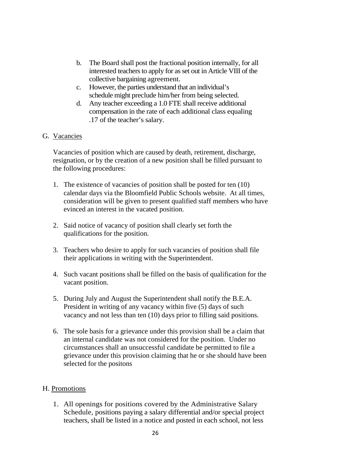- b. The Board shall post the fractional position internally, for all interested teachers to apply for as set out in Article VIII of the collective bargaining agreement.
- c. However, the parties understand that an individual's schedule might preclude him/her from being selected.
- d. Any teacher exceeding a 1.0 FTE shall receive additional compensation in the rate of each additional class equaling .17 of the teacher's salary.

## G. Vacancies

Vacancies of position which are caused by death, retirement, discharge, resignation, or by the creation of a new position shall be filled pursuant to the following procedures:

- 1. The existence of vacancies of position shall be posted for ten (10) calendar days via the Bloomfield Public Schools website. At all times, consideration will be given to present qualified staff members who have evinced an interest in the vacated position.
- 2. Said notice of vacancy of position shall clearly set forth the qualifications for the position.
- 3. Teachers who desire to apply for such vacancies of position shall file their applications in writing with the Superintendent.
- 4. Such vacant positions shall be filled on the basis of qualification for the vacant position.
- 5. During July and August the Superintendent shall notify the B.E.A. President in writing of any vacancy within five (5) days of such vacancy and not less than ten (10) days prior to filling said positions.
- 6. The sole basis for a grievance under this provision shall be a claim that an internal candidate was not considered for the position. Under no circumstances shall an unsuccessful candidate be permitted to file a grievance under this provision claiming that he or she should have been selected for the positons

## H. Promotions

1. All openings for positions covered by the Administrative Salary Schedule, positions paying a salary differential and/or special project teachers, shall be listed in a notice and posted in each school, not less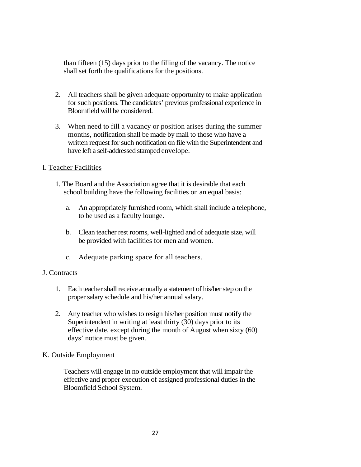than fifteen (15) days prior to the filling of the vacancy. The notice shall set forth the qualifications for the positions.

- 2. All teachers shall be given adequate opportunity to make application for such positions. The candidates' previous professional experience in Bloomfield will be considered.
- 3. When need to fill a vacancy or position arises during the summer months, notification shall be made by mail to those who have a written request for such notification on file with the Superintendent and have left a self-addressed stamped envelope.

## I. Teacher Facilities

- 1. The Board and the Association agree that it is desirable that each school building have the following facilities on an equal basis:
	- a. An appropriately furnished room, which shall include a telephone, to be used as a faculty lounge.
	- b. Clean teacher rest rooms, well-lighted and of adequate size, will be provided with facilities for men and women.
	- c. Adequate parking space for all teachers.

## J. Contracts

- 1. Each teacher shall receive annually a statement of his/her step on the proper salary schedule and his/her annual salary.
- 2. Any teacher who wishes to resign his/her position must notify the Superintendent in writing at least thirty (30) days prior to its effective date, except during the month of August when sixty (60) days' notice must be given.

## K. Outside Employment

Teachers will engage in no outside employment that will impair the effective and proper execution of assigned professional duties in the Bloomfield School System.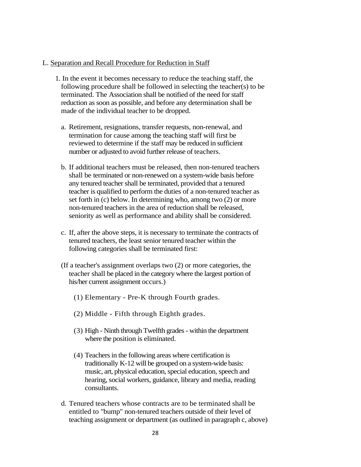#### L. Separation and Recall Procedure for Reduction in Staff

- 1. In the event it becomes necessary to reduce the teaching staff, the following procedure shall be followed in selecting the teacher(s) to be terminated. The Association shall be notified of the need for staff reduction as soon as possible, and before any determination shall be made of the individual teacher to be dropped.
	- a. Retirement, resignations, transfer requests, non-renewal, and termination for cause among the teaching staff will first be reviewed to determine if the staff may be reduced in sufficient number or adjusted to avoid further release of teachers.
	- b. If additional teachers must be released, then non-tenured teachers shall be terminated or non-renewed on a system-wide basis before any tenured teacher shall be terminated, provided that a tenured teacher is qualified to perform the duties of a non-tenured teacher as set forth in (c) below. In determining who, among two (2) or more non-tenured teachers in the area of reduction shall be released, seniority as well as performance and ability shall be considered.
	- c. If, after the above steps, it is necessary to terminate the contracts of tenured teachers, the least senior tenured teacher within the following categories shall be terminated first:
	- (If a teacher's assignment overlaps two (2) or more categories, the teacher shall be placed in the category where the largest portion of his/her current assignment occurs.)
		- (1) Elementary Pre-K through Fourth grades.
		- (2) Middle Fifth through Eighth grades.
		- (3) High Ninth through Twelfth grades within the department where the position is eliminated.
		- (4) Teachers in the following areas where certification is traditionally K-12 will be grouped on a system-wide basis: music, art, physical education, special education, speech and hearing, social workers, guidance, library and media, reading consultants.
	- d. Tenured teachers whose contracts are to be terminated shall be entitled to "bump" non-tenured teachers outside of their level of teaching assignment or department (as outlined in paragraph c, above)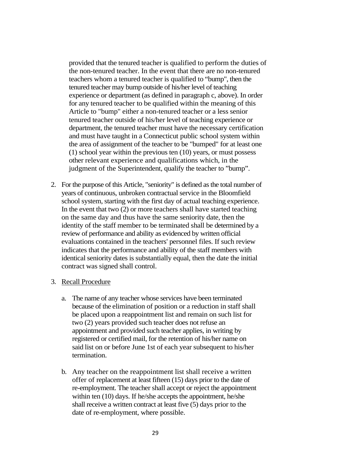provided that the tenured teacher is qualified to perform the duties of the non-tenured teacher. In the event that there are no non-tenured teachers whom a tenured teacher is qualified to "bump", then the tenured teacher may bump outside of his/her level of teaching experience or department (as defined in paragraph c, above). In order for any tenured teacher to be qualified within the meaning of this Article to "bump" either a non-tenured teacher or a less senior tenured teacher outside of his/her level of teaching experience or department, the tenured teacher must have the necessary certification and must have taught in a Connecticut public school system within the area of assignment of the teacher to be "bumped" for at least one (1) school year within the previous ten (10) years, or must possess other relevant experience and qualifications which, in the judgment of the Superintendent, qualify the teacher to "bump".

2. For the purpose of this Article, "seniority" is defined as the total number of years of continuous, unbroken contractual service in the Bloomfield school system, starting with the first day of actual teaching experience. In the event that two (2) or more teachers shall have started teaching on the same day and thus have the same seniority date, then the identity of the staff member to be terminated shall be determined by a review of performance and ability as evidenced by written official evaluations contained in the teachers' personnel files. If such review indicates that the performance and ability of the staff members with identical seniority dates is substantially equal, then the date the initial contract was signed shall control.

#### 3. Recall Procedure

- a. The name of any teacher whose services have been terminated because of the elimination of position or a reduction in staff shall be placed upon a reappointment list and remain on such list for two (2) years provided such teacher does not refuse an appointment and provided such teacher applies, in writing by registered or certified mail, for the retention of his/her name on said list on or before June 1st of each year subsequent to his/her termination.
- b. Any teacher on the reappointment list shall receive a written offer of replacement at least fifteen (15) days prior to the date of re-employment. The teacher shall accept or reject the appointment within ten (10) days. If he/she accepts the appointment, he/she shall receive a written contract at least five (5) days prior to the date of re-employment, where possible.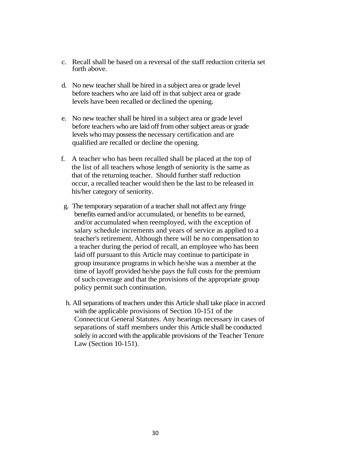- c. Recall shall be based on a reversal of the staff reduction criteria set forth above.
- d. No new teacher shall be hired in a subject area or grade level before teachers who are laid off in that subject area or grade levels have been recalled or declined the opening.
- e. No new teacher shall be hired in a subject area or grade level before teachers who are laid off from other subject areas or grade levels who may possess the necessary certification and are qualified are recalled or decline the opening.
- f. A teacher who has been recalled shall be placed at the top of the list of all teachers whose length of seniority is the same as that of the returning teacher. Should further staff reduction occur, a recalled teacher would then be the last to be released in his/her category of seniority.
- g. The temporary separation of a teacher shall not affect any fringe benefits earned and/or accumulated, or benefits to be earned, and/or accumulated when reemployed, with the exception of salary schedule increments and years of service as applied to a teacher's retirement. Although there will be no compensation to a teacher during the period of recall, an employee who has been laid off pursuant to this Article may continue to participate in group insurance programs in which he/she was a member at the time of layoff provided he/she pays the full costs for the premium of such coverage and that the provisions of the appropriate group policy permit such continuation.
- h. All separations of teachers under this Article shall take place in accord with the applicable provisions of Section 10-151 of the Connecticut General Statutes. Any hearings necessary in cases of separations of staff members under this Article shall be conducted solely in accord with the applicable provisions of the Teacher Tenure Law (Section 10-151).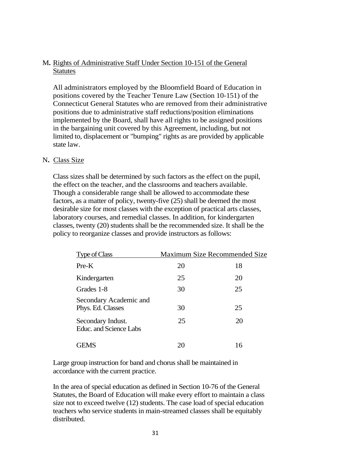## M**.** Rights of Administrative Staff Under Section 10-151 of the General **Statutes**

All administrators employed by the Bloomfield Board of Education in positions covered by the Teacher Tenure Law (Section 10-151) of the Connecticut General Statutes who are removed from their administrative positions due to administrative staff reductions/position eliminations implemented by the Board, shall have all rights to be assigned positions in the bargaining unit covered by this Agreement, including, but not limited to, displacement or "bumping" rights as are provided by applicable state law.

## N**.** Class Size

Class sizes shall be determined by such factors as the effect on the pupil, the effect on the teacher, and the classrooms and teachers available. Though a considerable range shall be allowed to accommodate these factors, as a matter of policy, twenty-five (25) shall be deemed the most desirable size for most classes with the exception of practical arts classes, laboratory courses, and remedial classes. In addition, for kindergarten classes, twenty (20) students shall be the recommended size. It shall be the policy to reorganize classes and provide instructors as follows:

| Type of Class                               |    | Maximum Size Recommended Size |
|---------------------------------------------|----|-------------------------------|
| $Pre-K$                                     | 20 | 18                            |
| Kindergarten                                | 25 | 20                            |
| Grades 1-8                                  | 30 | 25                            |
| Secondary Academic and<br>Phys. Ed. Classes | 30 | 25                            |
| Secondary Indust.<br>Educ. and Science Labs | 25 | 20                            |
| EMS                                         |    | 16                            |

Large group instruction for band and chorus shall be maintained in accordance with the current practice.

In the area of special education as defined in Section 10-76 of the General Statutes, the Board of Education will make every effort to maintain a class size not to exceed twelve (12) students. The case load of special education teachers who service students in main-streamed classes shall be equitably distributed.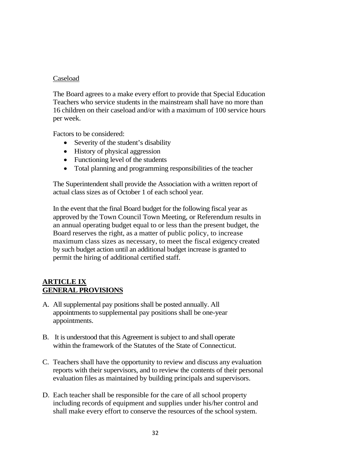#### Caseload

The Board agrees to a make every effort to provide that Special Education Teachers who service students in the mainstream shall have no more than 16 children on their caseload and/or with a maximum of 100 service hours per week.

Factors to be considered:

- Severity of the student's disability
- History of physical aggression
- Functioning level of the students
- Total planning and programming responsibilities of the teacher

The Superintendent shall provide the Association with a written report of actual class sizes as of October 1 of each school year*.*

In the event that the final Board budget for the following fiscal year as approved by the Town Council Town Meeting, or Referendum results in an annual operating budget equal to or less than the present budget, the Board reserves the right, as a matter of public policy, to increase maximum class sizes as necessary, to meet the fiscal exigency created by such budget action until an additional budget increase is granted to permit the hiring of additional certified staff.

## **ARTICLE IX GENERAL PROVISIONS**

- A. All supplemental pay positions shall be posted annually. All appointments to supplemental pay positions shall be one-year appointments.
- B. It is understood that this Agreement is subject to and shall operate within the framework of the Statutes of the State of Connecticut.
- C. Teachers shall have the opportunity to review and discuss any evaluation reports with their supervisors, and to review the contents of their personal evaluation files as maintained by building principals and supervisors.
- D. Each teacher shall be responsible for the care of all school property including records of equipment and supplies under his/her control and shall make every effort to conserve the resources of the school system.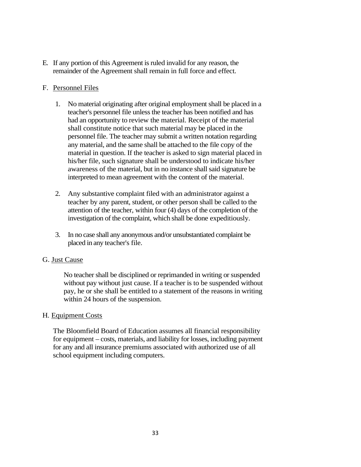E*.* If any portion of this Agreement is ruled invalid for any reason, the remainder of the Agreement shall remain in full force and effect.

## F. Personnel Files

- 1. No material originating after original employment shall be placed in a teacher's personnel file unless the teacher has been notified and has had an opportunity to review the material. Receipt of the material shall constitute notice that such material may be placed in the personnel file. The teacher may submit a written notation regarding any material, and the same shall be attached to the file copy of the material in question. If the teacher is asked to sign material placed in his/her file, such signature shall be understood to indicate his/her awareness of the material, but in no instance shall said signature be interpreted to mean agreement with the content of the material.
- 2. Any substantive complaint filed with an administrator against a teacher by any parent, student, or other person shall be called to the attention of the teacher, within four (4) days of the completion of the investigation of the complaint, which shall be done expeditiously.
- 3. In no case shall any anonymous and/or unsubstantiated complaint be placed in any teacher's file.

## G. Just Cause

No teacher shall be disciplined or reprimanded in writing or suspended without pay without just cause. If a teacher is to be suspended without pay, he or she shall be entitled to a statement of the reasons in writing within 24 hours of the suspension.

## H*.* Equipment Costs

The Bloomfield Board of Education assumes all financial responsibility for equipment – costs, materials, and liability for losses, including payment for any and all insurance premiums associated with authorized use of all school equipment including computers.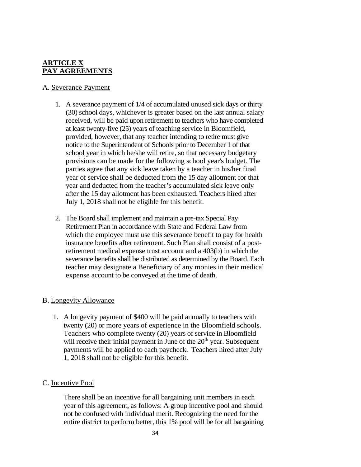## **ARTICLE X PAY AGREEMENTS**

## A. Severance Payment

- 1. A severance payment of 1/4 of accumulated unused sick days or thirty (30) school days, whichever is greater based on the last annual salary received, will be paid upon retirement to teachers who have completed at least twenty-five (25) years of teaching service in Bloomfield, provided, however, that any teacher intending to retire must give notice to the Superintendent of Schools prior to December 1 of that school year in which he/she will retire, so that necessary budgetary provisions can be made for the following school year's budget. The parties agree that any sick leave taken by a teacher in his/her final year of service shall be deducted from the 15 day allotment for that year and deducted from the teacher's accumulated sick leave only after the 15 day allotment has been exhausted. Teachers hired after July 1, 2018 shall not be eligible for this benefit.
- 2. The Board shall implement and maintain a pre-tax Special Pay Retirement Plan in accordance with State and Federal Law from which the employee must use this severance benefit to pay for health insurance benefits after retirement. Such Plan shall consist of a postretirement medical expense trust account and a 403(b) in which the severance benefits shall be distributed as determined by the Board. Each teacher may designate a Beneficiary of any monies in their medical expense account to be conveyed at the time of death.

## B. Longevity Allowance

1. A longevity payment of \$400 will be paid annually to teachers with twenty (20) or more years of experience in the Bloomfield schools. Teachers who complete twenty (20) years of service in Bloomfield will receive their initial payment in June of the  $20<sup>th</sup>$  year. Subsequent payments will be applied to each paycheck. Teachers hired after July 1, 2018 shall not be eligible for this benefit.

## C. Incentive Pool

There shall be an incentive for all bargaining unit members in each year of this agreement, as follows: A group incentive pool and should not be confused with individual merit. Recognizing the need for the entire district to perform better, this 1% pool will be for all bargaining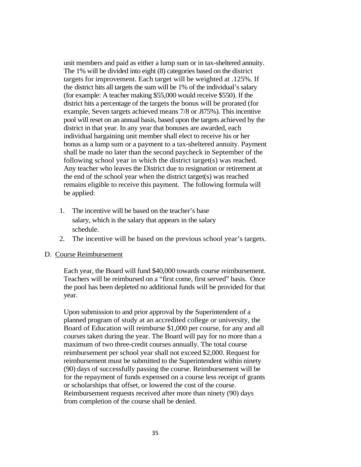unit members and paid as either a lump sum or in tax-sheltered annuity. The 1% will be divided into eight (8) categories based on the district targets for improvement. Each target will be weighted at .125%. If the district hits all targets the sum will be 1% of the individual's salary (for example: A teacher making \$55,000 would receive \$550). If the district hits a percentage of the targets the bonus will be prorated (for example, Seven targets achieved means 7/8 or .875%). This incentive pool will reset on an annual basis, based upon the targets achieved by the district in that year. In any year that bonuses are awarded, each individual bargaining unit member shall elect to receive his or her bonus as a lump sum or a payment to a tax-sheltered annuity. Payment shall be made no later than the second paycheck in September of the following school year in which the district target(s) was reached. Any teacher who leaves the District due to resignation or retirement at the end of the school year when the district target(s) was reached remains eligible to receive this payment. The following formula will be applied:

- 1. The incentive will be based on the teacher's base salary, which is the salary that appears in the salary schedule.
- 2. The incentive will be based on the previous school year's targets.

#### D. Course Reimbursement

Each year, the Board will fund \$40,000 towards course reimbursement. Teachers will be reimbursed on a "first come, first served" basis. Once the pool has been depleted no additional funds will be provided for that year.

Upon submission to and prior approval by the Superintendent of a planned program of study at an accredited college or university, the Board of Education will reimburse \$1,000 per course, for any and all courses taken during the year. The Board will pay for no more than a maximum of two three-credit courses annually. The total course reimbursement per school year shall not exceed \$2,000. Request for reimbursement must be submitted to the Superintendent within ninety (90) days of successfully passing the course. Reimbursement will be for the repayment of funds expensed on a course less receipt of grants or scholarships that offset, or lowered the cost of the course. Reimbursement requests received after more than ninety (90) days from completion of the course shall be denied.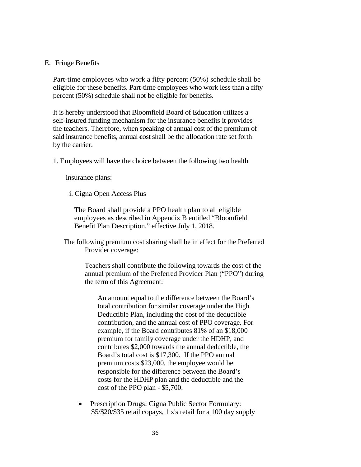#### E. Fringe Benefits

Part-time employees who work a fifty percent (50%) schedule shall be eligible for these benefits. Part-time employees who work less than a fifty percent (50%) schedule shall not be eligible for benefits.

It is hereby understood that Bloomfield Board of Education utilizes a self-insured funding mechanism for the insurance benefits it provides the teachers. Therefore, when speaking of annual cost of the premium of said insurance benefits, annual **c**ost shall be the allocation rate set forth by the carrier.

1. Employees will have the choice between the following two health

insurance plans:

i. Cigna Open Access Plus

The Board shall provide a PPO health plan to all eligible employees as described in Appendix B entitled "Bloomfield Benefit Plan Description." effective July 1, 2018.

The following premium cost sharing shall be in effect for the Preferred Provider coverage:

> Teachers shall contribute the following towards the cost of the annual premium of the Preferred Provider Plan ("PPO") during the term of this Agreement:

An amount equal to the difference between the Board's total contribution for similar coverage under the High Deductible Plan, including the cost of the deductible contribution, and the annual cost of PPO coverage. For example, if the Board contributes 81% of an \$18,000 premium for family coverage under the HDHP, and contributes \$2,000 towards the annual deductible, the Board's total cost is \$17,300. If the PPO annual premium costs \$23,000, the employee would be responsible for the difference between the Board's costs for the HDHP plan and the deductible and the cost of the PPO plan - \$5,700.

• Prescription Drugs: Cigna Public Sector Formulary: \$5/\$20/\$35 retail copays, 1 x's retail for a 100 day supply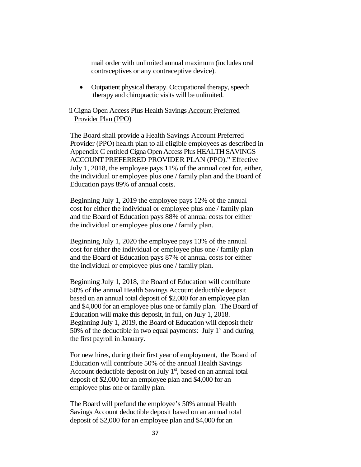mail order with unlimited annual maximum (includes oral contraceptives or any contraceptive device).

• Outpatient physical therapy. Occupational therapy, speech therapy and chiropractic visits will be unlimited.

ii Cigna Open Access Plus Health Savings Account Preferred Provider Plan (PPO)

The Board shall provide a Health Savings Account Preferred Provider (PPO) health plan to all eligible employees as described in Appendix C entitled Cigna Open Access Plus HEALTH SAVINGS ACCOUNT PREFERRED PROVIDER PLAN (PPO)." Effective July 1, 2018, the employee pays 11% of the annual cost for, either, the individual or employee plus one / family plan and the Board of Education pays 89% of annual costs.

Beginning July 1, 2019 the employee pays 12% of the annual cost for either the individual or employee plus one / family plan and the Board of Education pays 88% of annual costs for either the individual or employee plus one / family plan.

Beginning July 1, 2020 the employee pays 13% of the annual cost for either the individual or employee plus one / family plan and the Board of Education pays 87% of annual costs for either the individual or employee plus one / family plan.

Beginning July 1, 2018, the Board of Education will contribute 50% of the annual Health Savings Account deductible deposit based on an annual total deposit of \$2,000 for an employee plan and \$4,000 for an employee plus one or family plan. The Board of Education will make this deposit, in full, on July 1, 2018. Beginning July 1, 2019, the Board of Education will deposit their 50% of the deductible in two equal payments: July  $1<sup>st</sup>$  and during the first payroll in January.

For new hires, during their first year of employment, the Board of Education will contribute 50% of the annual Health Savings Account deductible deposit on July  $1<sup>st</sup>$ , based on an annual total deposit of \$2,000 for an employee plan and \$4,000 for an employee plus one or family plan.

The Board will prefund the employee's 50% annual Health Savings Account deductible deposit based on an annual total deposit of \$2,000 for an employee plan and \$4,000 for an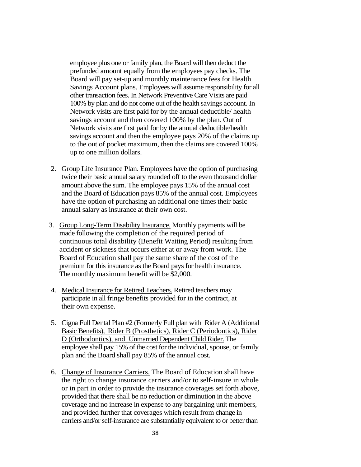employee plus one or family plan, the Board will then deduct the prefunded amount equally from the employees pay checks. The Board will pay set-up and monthly maintenance fees for Health Savings Account plans. Employees will assume responsibility for all other transaction fees. In Network Preventive Care Visits are paid 100% by plan and do not come out of the health savings account. In Network visits are first paid for by the annual deductible/ health savings account and then covered 100% by the plan. Out of Network visits are first paid for by the annual deductible/health savings account and then the employee pays 20% of the claims up to the out of pocket maximum, then the claims are covered 100% up to one million dollars.

- 2. Group Life Insurance Plan. Employees have the option of purchasing twice their basic annual salary rounded off to the even thousand dollar amount above the sum. The employee pays 15% of the annual cost and the Board of Education pays 85% of the annual cost. Employees have the option of purchasing an additional one times their basic annual salary as insurance at their own cost.
- 3. Group Long-Term Disability Insurance. Monthly payments will be made following the completion of the required period of continuous total disability (Benefit Waiting Period) resulting from accident or sickness that occurs either at or away from work. The Board of Education shall pay the same share of the cost of the premium for this insurance as the Board pays for health insurance. The monthly maximum benefit will be \$2,000.
- 4. Medical Insurance for Retired Teachers. Retired teachers may participate in all fringe benefits provided for in the contract, at their own expense.
- 5. Cigna Full Dental Plan #2 (Formerly Full plan with Rider A (Additional Basic Benefits), Rider B (Prosthetics), Rider C (Periodontics), Rider D (Orthodontics), and Unmarried Dependent Child Rider. The employee shall pay 15% of the cost for the individual, spouse, or family plan and the Board shall pay 85% of the annual cost.
- 6. Change of Insurance Carriers. The Board of Education shall have the right to change insurance carriers and/or to self-insure in whole or in part in order to provide the insurance coverages set forth above, provided that there shall be no reduction or diminution in the above coverage and no increase in expense to any bargaining unit members, and provided further that coverages which result from change in carriers and/or self-insurance are substantially equivalent to or better than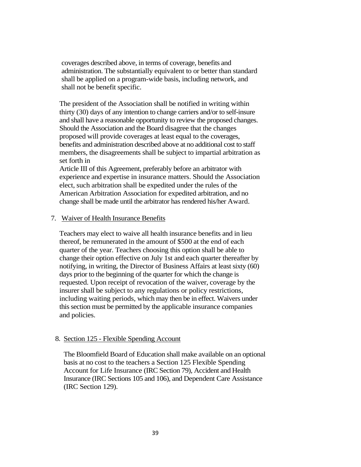coverages described above, in terms of coverage, benefits and administration. The substantially equivalent to or better than standard shall be applied on a program-wide basis, including network, and shall not be benefit specific.

The president of the Association shall be notified in writing within thirty (30) days of any intention to change carriers and/or to self-insure and shall have a reasonable opportunity to review the proposed changes. Should the Association and the Board disagree that the changes proposed will provide coverages at least equal to the coverages, benefits and administration described above at no additional cost to staff members, the disagreements shall be subject to impartial arbitration as set forth in

Article III of this Agreement, preferably before an arbitrator with experience and expertise in insurance matters. Should the Association elect, such arbitration shall be expedited under the rules of the American Arbitration Association for expedited arbitration, and no change shall be made until the arbitrator has rendered his/her Award.

#### 7. Waiver of Health Insurance Benefits

Teachers may elect to waive all health insurance benefits and in lieu thereof, be remunerated in the amount of \$500 at the end of each quarter of the year. Teachers choosing this option shall be able to change their option effective on July 1st and each quarter thereafter by notifying, in writing, the Director of Business Affairs at least sixty (60) days prior to the beginning of the quarter for which the change is requested. Upon receipt of revocation of the waiver, coverage by the insurer shall be subject to any regulations or policy restrictions, including waiting periods, which may then be in effect. Waivers under this section must be permitted by the applicable insurance companies and policies.

#### 8. Section 125 - Flexible Spending Account

The Bloomfield Board of Education shall make available on an optional basis at no cost to the teachers a Section 125 Flexible Spending Account for Life Insurance (IRC Section 79), Accident and Health Insurance (IRC Sections 105 and 106), and Dependent Care Assistance (IRC Section 129).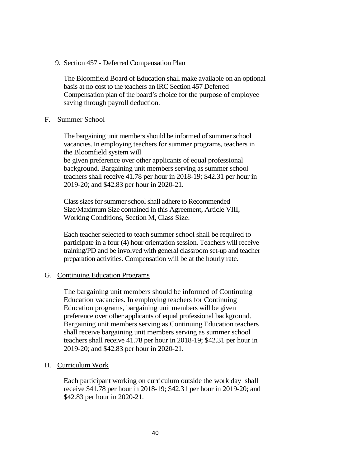#### 9. Section 457 - Deferred Compensation Plan

The Bloomfield Board of Education shall make available on an optional basis at no cost to the teachers an IRC Section 457 Deferred Compensation plan of the board's choice for the purpose of employee saving through payroll deduction.

#### F. Summer School

The bargaining unit members should be informed of summer school vacancies. In employing teachers for summer programs, teachers in the Bloomfield system will

be given preference over other applicants of equal professional background. Bargaining unit members serving as summer school teachers shall receive 41.78 per hour in 2018-19; \$42.31 per hour in 2019-20; and \$42.83 per hour in 2020-21.

Class sizes for summer school shall adhere to Recommended Size/Maximum Size contained in this Agreement, Article VIII, Working Conditions, Section M, Class Size.

Each teacher selected to teach summer school shall be required to participate in a four (4) hour orientation session. Teachers will receive training/PD and be involved with general classroom set-up and teacher preparation activities. Compensation will be at the hourly rate.

## G. Continuing Education Programs

The bargaining unit members should be informed of Continuing Education vacancies. In employing teachers for Continuing Education programs, bargaining unit members will be given preference over other applicants of equal professional background. Bargaining unit members serving as Continuing Education teachers shall receive bargaining unit members serving as summer school teachers shall receive 41.78 per hour in 2018-19; \$42.31 per hour in 2019-20; and \$42.83 per hour in 2020-21.

## H. Curriculum Work

Each participant working on curriculum outside the work day shall receive \$41.78 per hour in 2018-19; \$42.31 per hour in 2019-20; and \$42.83 per hour in 2020-21.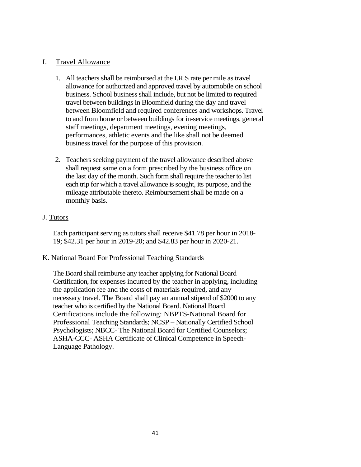## I. Travel Allowance

- 1. All teachers shall be reimbursed at the I.R.S rate per mile as travel allowance for authorized and approved travel by automobile on school business. School business shall include, but not be limited to required travel between buildings in Bloomfield during the day and travel between Bloomfield and required conferences and workshops. Travel to and from home or between buildings for in-service meetings, general staff meetings, department meetings, evening meetings, performances, athletic events and the like shall not be deemed business travel for the purpose of this provision.
- 2. Teachers seeking payment of the travel allowance described above shall request same on a form prescribed by the business office on the last day of the month. Such form shall require the teacher to list each trip for which a travel allowance is sought, its purpose, and the mileage attributable thereto. Reimbursement shall be made on a monthly basis.

## J. Tutors

Each participant serving as tutors shall receive \$41.78 per hour in 2018- 19; \$42.31 per hour in 2019-20; and \$42.83 per hour in 2020-21.

## K. National Board For Professional Teaching Standards

The Board shall reimburse any teacher applying for National Board Certification, for expenses incurred by the teacher in applying, including the application fee and the costs of materials required, and any necessary travel. The Board shall pay an annual stipend of \$2000 to any teacher who is certified by the National Board. National Board Certifications include the following: NBPTS-National Board for Professional Teaching Standards; NCSP – Nationally Certified School Psychologists; NBCC- The National Board for Certified Counselors; ASHA-CCC- ASHA Certificate of Clinical Competence in Speech-Language Pathology.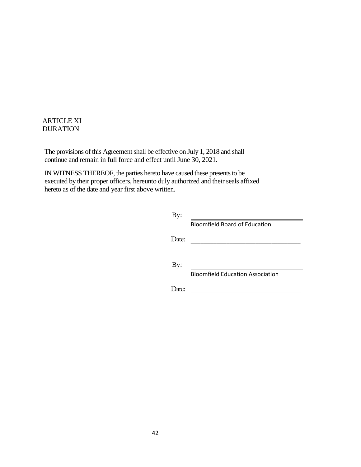## ARTICLE XI **DURATION**

The provisions of this Agreement shall be effective on July 1, 2018 and shall continue and remain in full force and effect until June 30, 2021.

IN WITNESS THEREOF, the parties hereto have caused these presents to be executed by their proper officers, hereunto duly authorized and their seals affixed hereto as of the date and year first above written.

| By:   |                                         |
|-------|-----------------------------------------|
|       | <b>Bloomfield Board of Education</b>    |
| Date: |                                         |
| By:   | <b>Bloomfield Education Association</b> |
| late: |                                         |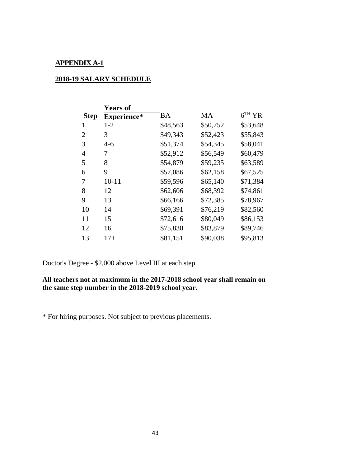## **APPENDIX A-1**

## **2018-19 SALARY SCHEDULE**

|                | <b>Years of</b> |          |           |          |
|----------------|-----------------|----------|-----------|----------|
| <b>Step</b>    | Experience*     | ВA       | <b>MA</b> | $6TH$ YR |
|                | $1 - 2$         | \$48,563 | \$50,752  | \$53,648 |
| $\overline{2}$ | 3               | \$49,343 | \$52,423  | \$55,843 |
| 3              | $4 - 6$         | \$51,374 | \$54,345  | \$58,041 |
| $\overline{4}$ | 7               | \$52,912 | \$56,549  | \$60,479 |
| 5              | 8               | \$54,879 | \$59,235  | \$63,589 |
| 6              | 9               | \$57,086 | \$62,158  | \$67,525 |
| 7              | $10 - 11$       | \$59,596 | \$65,140  | \$71,384 |
| 8              | 12              | \$62,606 | \$68,392  | \$74,861 |
| 9              | 13              | \$66,166 | \$72,385  | \$78,967 |
| 10             | 14              | \$69,391 | \$76,219  | \$82,560 |
| 11             | 15              | \$72,616 | \$80,049  | \$86,153 |
| 12             | 16              | \$75,830 | \$83,879  | \$89,746 |
| 13             | $17+$           | \$81,151 | \$90,038  | \$95,813 |

Doctor's Degree - \$2,000 above Level III at each step

## **All teachers not at maximum in the 2017-2018 school year shall remain on the same step number in the 2018-2019 school year.**

\* For hiring purposes. Not subject to previous placements.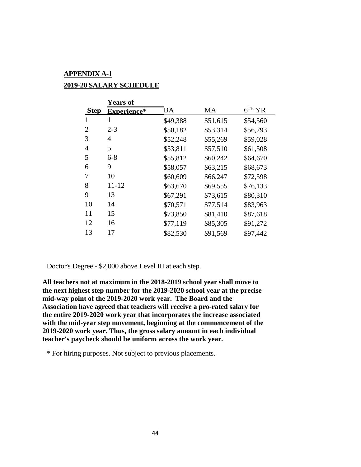# **APPENDIX A-1 2019-20 SALARY SCHEDULE**

|                | <b>Years of</b>    |           |           |          |
|----------------|--------------------|-----------|-----------|----------|
| <b>Step</b>    | <b>Experience*</b> | <b>BA</b> | <b>MA</b> | $6TH$ YR |
| 1              | 1                  | \$49,388  | \$51,615  | \$54,560 |
| $\overline{2}$ | $2 - 3$            | \$50,182  | \$53,314  | \$56,793 |
| 3              | 4                  | \$52,248  | \$55,269  | \$59,028 |
| $\overline{4}$ | 5                  | \$53,811  | \$57,510  | \$61,508 |
| 5              | $6 - 8$            | \$55,812  | \$60,242  | \$64,670 |
| 6              | 9                  | \$58,057  | \$63,215  | \$68,673 |
| 7              | 10                 | \$60,609  | \$66,247  | \$72,598 |
| 8              | $11 - 12$          | \$63,670  | \$69,555  | \$76,133 |
| 9              | 13                 | \$67,291  | \$73,615  | \$80,310 |
| 10             | 14                 | \$70,571  | \$77,514  | \$83,963 |
| 11             | 15                 | \$73,850  | \$81,410  | \$87,618 |
| 12             | 16                 | \$77,119  | \$85,305  | \$91,272 |
| 13             | 17                 | \$82,530  | \$91,569  | \$97,442 |

Doctor's Degree - \$2,000 above Level III at each step.

**All teachers not at maximum in the 2018-2019 school year shall move to the next highest step number for the 2019-2020 school year at the precise mid-way point of the 2019-2020 work year. The Board and the Association have agreed that teachers will receive a pro-rated salary for the entire 2019-2020 work year that incorporates the increase associated with the mid-year step movement, beginning at the commencement of the 2019-2020 work year. Thus, the gross salary amount in each individual teacher's paycheck should be uniform across the work year.** 

\* For hiring purposes. Not subject to previous placements.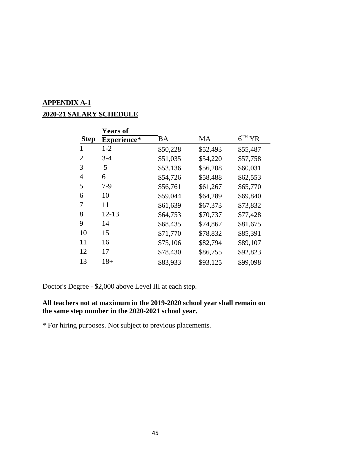# **APPENDIX A-1**

# **2020-21 SALARY SCHEDULE**

|             | <b>Years of</b>    |           |          |          |
|-------------|--------------------|-----------|----------|----------|
| <b>Step</b> | <b>Experience*</b> | <b>BA</b> | MA       | $6TH$ YR |
| 1           | $1-2$              | \$50,228  | \$52,493 | \$55,487 |
| 2           | $3-4$              | \$51,035  | \$54,220 | \$57,758 |
| 3           | 5                  | \$53,136  | \$56,208 | \$60,031 |
| 4           | 6                  | \$54,726  | \$58,488 | \$62,553 |
| 5           | $7-9$              | \$56,761  | \$61,267 | \$65,770 |
| 6           | 10                 | \$59,044  | \$64,289 | \$69,840 |
| 7           | 11                 | \$61,639  | \$67,373 | \$73,832 |
| 8           | $12 - 13$          | \$64,753  | \$70,737 | \$77,428 |
| 9           | 14                 | \$68,435  | \$74,867 | \$81,675 |
| 10          | 15                 | \$71,770  | \$78,832 | \$85,391 |
| 11          | 16                 | \$75,106  | \$82,794 | \$89,107 |
| 12          | 17                 | \$78,430  | \$86,755 | \$92,823 |
| 13          | $18+$              | \$83,933  | \$93,125 | \$99,098 |

Doctor's Degree - \$2,000 above Level III at each step.

## **All teachers not at maximum in the 2019-2020 school year shall remain on the same step number in the 2020-2021 school year.**

\* For hiring purposes. Not subject to previous placements.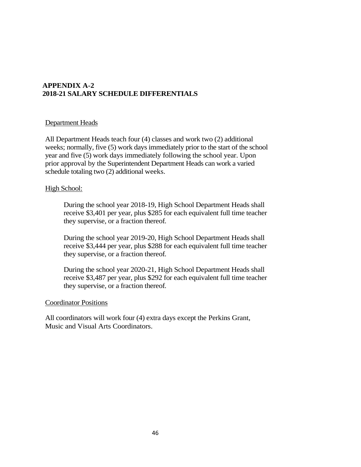#### **APPENDIX A-2 2018-21 SALARY SCHEDULE DIFFERENTIALS**

#### Department Heads

All Department Heads teach four (4) classes and work two (2) additional weeks; normally, five (5) work days immediately prior to the start of the school year and five (5) work days immediately following the school year. Upon prior approval by the Superintendent Department Heads can work a varied schedule totaling two (2) additional weeks.

#### High School:

During the school year 2018-19, High School Department Heads shall receive \$3,401 per year, plus \$285 for each equivalent full time teacher they supervise, or a fraction thereof*.*

During the school year 2019-20, High School Department Heads shall receive \$3,444 per year, plus \$288 for each equivalent full time teacher they supervise, or a fraction thereof*.*

During the school year 2020-21, High School Department Heads shall receive \$3,487 per year, plus \$292 for each equivalent full time teacher they supervise, or a fraction thereof*.*

#### Coordinator Positions

All coordinators will work four (4) extra days except the Perkins Grant, Music and Visual Arts Coordinators.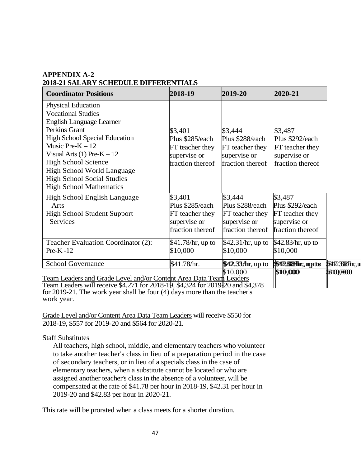## **APPENDIX A-2 2018-21 SALARY SCHEDULE DIFFERENTIALS**

| <b>Coordinator Positions</b>                                                                                                                         | 2018-19           | 2019-20           | 2020-21                      |                    |
|------------------------------------------------------------------------------------------------------------------------------------------------------|-------------------|-------------------|------------------------------|--------------------|
| <b>Physical Education</b>                                                                                                                            |                   |                   |                              |                    |
| <b>Vocational Studies</b>                                                                                                                            |                   |                   |                              |                    |
| <b>English Language Learner</b>                                                                                                                      |                   |                   |                              |                    |
| Perkins Grant                                                                                                                                        | \$3,401           | \$3,444           | \$3,487                      |                    |
| <b>High School Special Education</b>                                                                                                                 | Plus \$285/each   | Plus \$288/each   | Plus \$292/each              |                    |
| Music Pre- $K - 12$                                                                                                                                  | FT teacher they   | FT teacher they   | FT teacher they              |                    |
| Visual Arts $(1)$ Pre-K $-12$                                                                                                                        | supervise or      | supervise or      | supervise or                 |                    |
| <b>High School Science</b>                                                                                                                           | fraction thereof  | fraction thereof  | fraction thereof             |                    |
| <b>High School World Language</b>                                                                                                                    |                   |                   |                              |                    |
| <b>High School Social Studies</b>                                                                                                                    |                   |                   |                              |                    |
| <b>High School Mathematics</b>                                                                                                                       |                   |                   |                              |                    |
| High School English Language                                                                                                                         | \$3,401           | \$3,444           | \$3,487                      |                    |
| Arts                                                                                                                                                 | Plus \$285/each   | Plus \$288/each   | Plus \$292/each              |                    |
| <b>High School Student Support</b>                                                                                                                   | FT teacher they   | FT teacher they   | FT teacher they              |                    |
| Services                                                                                                                                             | supervise or      | supervise or      | supervise or                 |                    |
|                                                                                                                                                      | fraction thereof  | fraction thereof  | fraction thereof             |                    |
| Teacher Evaluation Coordinator (2):                                                                                                                  | \$41.78/hr, up to | \$42.31/hr, up to | \$42.83/hr, up to            |                    |
| $Pre-K-12$                                                                                                                                           | \$10,000          | \$10,000          | \$10,000                     |                    |
| <b>School Governance</b>                                                                                                                             | \$41.78/hr.       | \$42.33/hr, up to | <b>SHI2.889/Hmm</b> ;, up to | \$\$422.338/hn;, u |
|                                                                                                                                                      |                   | \$10,000          | \$10,000                     | \$110,0000         |
| Team Leaders and Grade Level and/or Content Area Data Team Leaders<br>Team Leaders will receive \$4.271 for 2018-19, \$4.324 for 2019 20 and \$4.378 |                   |                   |                              |                    |

Team Leaders will receive \$4,271 for 2018-19, \$4,324 for 2019<sup>-1</sup>/<sub>20</sub> and \$4,378 for 2019-21*.* The work year shall be four (4) days more than the teacher's work year.

Grade Level and/or Content Area Data Team Leaders will receive \$550 for 2018-19, \$557 for 2019-20 and \$564 for 2020-21*.* 

## Staff Substitutes

All teachers, high school, middle, and elementary teachers who volunteer to take another teacher's class in lieu of a preparation period in the case of secondary teachers, or in lieu of a specials class in the case of elementary teachers, when a substitute cannot be located or who are assigned another teacher's class in the absence of a volunteer, will be compensated at the rate of \$41.78 per hour in 2018-19, \$42.31 per hour in 2019-20 and \$42.83 per hour in 2020-21.

This rate will be prorated when a class meets for a shorter duration.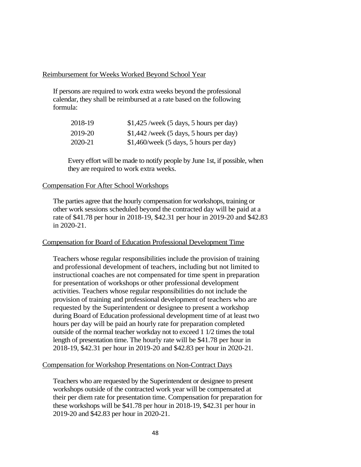#### Reimbursement for Weeks Worked Beyond School Year

If persons are required to work extra weeks beyond the professional calendar, they shall be reimbursed at a rate based on the following formula:

| 2018-19 | $$1,425$ /week (5 days, 5 hours per day) |
|---------|------------------------------------------|
| 2019-20 | $$1,442$ /week (5 days, 5 hours per day) |
| 2020-21 | $$1,460$ /week (5 days, 5 hours per day) |

Every effort will be made to notify people by June 1st, if possible, when they are required to work extra weeks.

#### Compensation For After School Workshops

The parties agree that the hourly compensation for workshops, training or other work sessions scheduled beyond the contracted day will be paid at a rate of \$41.78 per hour in 2018-19, \$42.31 per hour in 2019-20 and \$42.83 in 2020-21.

## Compensation for Board of Education Professional Development Time

Teachers whose regular responsibilities include the provision of training and professional development of teachers, including but not limited to instructional coaches are not compensated for time spent in preparation for presentation of workshops or other professional development activities. Teachers whose regular responsibilities do not include the provision of training and professional development of teachers who are requested by the Superintendent or designee to present a workshop during Board of Education professional development time of at least two hours per day will be paid an hourly rate for preparation completed outside of the normal teacher workday not to exceed 1 1/2 times the total length of presentation time. The hourly rate will be \$41.78 per hour in 2018-19, \$42.31 per hour in 2019-20 and \$42.83 per hour in 2020-21.

#### Compensation for Workshop Presentations on Non-Contract Days

Teachers who are requested by the Superintendent or designee to present workshops outside of the contracted work year will be compensated at their per diem rate for presentation time. Compensation for preparation for these workshops will be \$41.78 per hour in 2018-19, \$42.31 per hour in 2019-20 and \$42.83 per hour in 2020-21.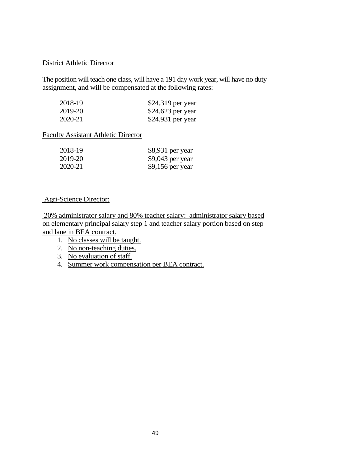#### District Athletic Director

The position will teach one class, will have a 191 day work year, will have no duty assignment, and will be compensated at the following rates:

| 2018-19 | \$24,319 per year  |
|---------|--------------------|
| 2019-20 | $$24,623$ per year |
| 2020-21 | \$24,931 per year  |

## Faculty Assistant Athletic Director

| 2018-19 | \$8,931 per year  |
|---------|-------------------|
| 2019-20 | $$9,043$ per year |
| 2020-21 | $$9,156$ per year |

## Agri-Science Director:

20% administrator salary and 80% teacher salary: administrator salary based on elementary principal salary step 1 and teacher salary portion based on step and lane in BEA contract.

- 1. No classes will be taught.
- 2. No non-teaching duties.
- 3. No evaluation of staff.
- 4. Summer work compensation per BEA contract.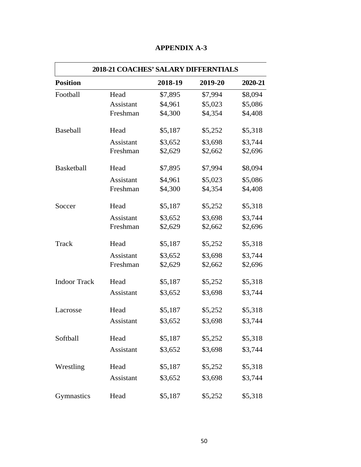| <b>2018-21 COACHES' SALARY DIFFERNTIALS</b> |           |         |         |         |
|---------------------------------------------|-----------|---------|---------|---------|
| <b>Position</b>                             |           | 2018-19 | 2019-20 | 2020-21 |
| Football                                    | Head      | \$7,895 | \$7,994 | \$8,094 |
|                                             | Assistant | \$4,961 | \$5,023 | \$5,086 |
|                                             | Freshman  | \$4,300 | \$4,354 | \$4,408 |
| Baseball                                    | Head      | \$5,187 | \$5,252 | \$5,318 |
|                                             | Assistant | \$3,652 | \$3,698 | \$3,744 |
|                                             | Freshman  | \$2,629 | \$2,662 | \$2,696 |
| <b>Basketball</b>                           | Head      | \$7,895 | \$7,994 | \$8,094 |
|                                             | Assistant | \$4,961 | \$5,023 | \$5,086 |
|                                             | Freshman  | \$4,300 | \$4,354 | \$4,408 |
| Soccer                                      | Head      | \$5,187 | \$5,252 | \$5,318 |
|                                             | Assistant | \$3,652 | \$3,698 | \$3,744 |
|                                             | Freshman  | \$2,629 | \$2,662 | \$2,696 |
| Track                                       | Head      | \$5,187 | \$5,252 | \$5,318 |
|                                             | Assistant | \$3,652 | \$3,698 | \$3,744 |
|                                             | Freshman  | \$2,629 | \$2,662 | \$2,696 |
| <b>Indoor Track</b>                         | Head      | \$5,187 | \$5,252 | \$5,318 |
|                                             | Assistant | \$3,652 | \$3,698 | \$3,744 |
| Lacrosse                                    | Head      | \$5,187 | \$5,252 | \$5,318 |
|                                             | Assistant | \$3,652 | \$3,698 | \$3,744 |
| Softball                                    | Head      | \$5,187 | \$5,252 | \$5,318 |
|                                             | Assistant | \$3,652 | \$3,698 | \$3,744 |
| Wrestling                                   | Head      | \$5,187 | \$5,252 | \$5,318 |
|                                             | Assistant | \$3,652 | \$3,698 | \$3,744 |
| Gymnastics                                  | Head      | \$5,187 | \$5,252 | \$5,318 |

## **APPENDIX A-3**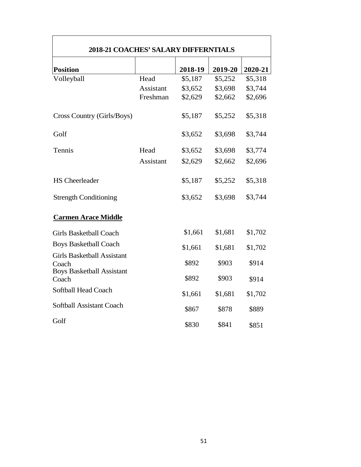| <b>2018-21 COACHES' SALARY DIFFERNTIALS</b>                                    |                  |         |         |         |
|--------------------------------------------------------------------------------|------------------|---------|---------|---------|
| <b>Position</b>                                                                |                  | 2018-19 | 2019-20 | 2020-21 |
| Volleyball                                                                     | Head             | \$5,187 | \$5,252 | \$5,318 |
|                                                                                | <b>Assistant</b> | \$3,652 | \$3,698 | \$3,744 |
|                                                                                | Freshman         | \$2,629 | \$2,662 | \$2,696 |
| Cross Country (Girls/Boys)                                                     |                  | \$5,187 | \$5,252 | \$5,318 |
| Golf                                                                           |                  | \$3,652 | \$3,698 | \$3,744 |
| Tennis                                                                         | Head             | \$3,652 | \$3,698 | \$3,774 |
|                                                                                | <b>Assistant</b> | \$2,629 | \$2,662 | \$2,696 |
| <b>HS</b> Cheerleader                                                          |                  | \$5,187 | \$5,252 | \$5,318 |
| <b>Strength Conditioning</b>                                                   |                  | \$3,652 | \$3,698 | \$3,744 |
| <b>Carmen Arace Middle</b>                                                     |                  |         |         |         |
| <b>Girls Basketball Coach</b>                                                  |                  | \$1,661 | \$1,681 | \$1,702 |
| <b>Boys Basketball Coach</b>                                                   |                  | \$1,661 | \$1,681 | \$1,702 |
| <b>Girls Basketball Assistant</b><br>Coach<br><b>Boys Basketball Assistant</b> |                  | \$892   | \$903   | \$914   |
| Coach                                                                          |                  | \$892   | \$903   | \$914   |
| Softball Head Coach                                                            |                  | \$1,661 | \$1,681 | \$1,702 |
| Softball Assistant Coach                                                       |                  | \$867   | \$878   | \$889   |
| Golf                                                                           |                  | \$830   | \$841   | \$851   |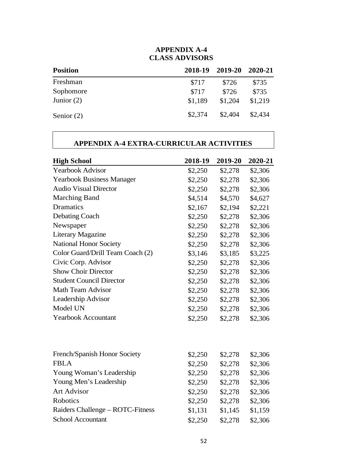## **APPENDIX A-4 CLASS ADVISORS**

| <b>Position</b> | 2018-19 | 2019-20 | - 2020-21 |
|-----------------|---------|---------|-----------|
| Freshman        | \$717   | \$726   | \$735     |
| Sophomore       | \$717   | \$726   | \$735     |
| Junior $(2)$    | \$1.189 | \$1,204 | \$1,219   |
| Senior $(2)$    | \$2,374 | \$2,404 | \$2,434   |

## **APPENDIX A-4 EXTRA-CURRICULAR ACTIVITIES**

| <b>High School</b>               | 2018-19 | 2019-20 | 2020-21 |
|----------------------------------|---------|---------|---------|
| <b>Yearbook Advisor</b>          | \$2,250 | \$2,278 | \$2,306 |
| <b>Yearbook Business Manager</b> | \$2,250 | \$2,278 | \$2,306 |
| <b>Audio Visual Director</b>     | \$2,250 | \$2,278 | \$2,306 |
| <b>Marching Band</b>             | \$4,514 | \$4,570 | \$4,627 |
| Dramatics                        | \$2,167 | \$2,194 | \$2,221 |
| Debating Coach                   | \$2,250 | \$2,278 | \$2,306 |
| Newspaper                        | \$2,250 | \$2,278 | \$2,306 |
| <b>Literary Magazine</b>         | \$2,250 | \$2,278 | \$2,306 |
| <b>National Honor Society</b>    | \$2,250 | \$2,278 | \$2,306 |
| Color Guard/Drill Team Coach (2) | \$3,146 | \$3,185 | \$3,225 |
| Civic Corp. Advisor              | \$2,250 | \$2,278 | \$2,306 |
| <b>Show Choir Director</b>       | \$2,250 | \$2,278 | \$2,306 |
| <b>Student Council Director</b>  | \$2,250 | \$2,278 | \$2,306 |
| Math Team Advisor                | \$2,250 | \$2,278 | \$2,306 |
| Leadership Advisor               | \$2,250 | \$2,278 | \$2,306 |
| Model UN                         | \$2,250 | \$2,278 | \$2,306 |
| <b>Yearbook Accountant</b>       | \$2,250 | \$2,278 | \$2,306 |
|                                  |         |         |         |
| French/Spanish Honor Society     | \$2,250 | \$2,278 | \$2,306 |
| <b>FBLA</b>                      | \$2,250 | \$2,278 | \$2,306 |
| Young Woman's Leadership         | \$2,250 | \$2,278 | \$2,306 |
| Young Men's Leadership           | \$2,250 | \$2,278 | \$2,306 |
| <b>Art Advisor</b>               | \$2,250 | \$2,278 | \$2,306 |
| Robotics                         | \$2,250 | \$2,278 | \$2,306 |
| Raiders Challenge – ROTC-Fitness | \$1,131 | \$1,145 | \$1,159 |
| <b>School Accountant</b>         | \$2,250 | \$2,278 | \$2,306 |
|                                  |         |         |         |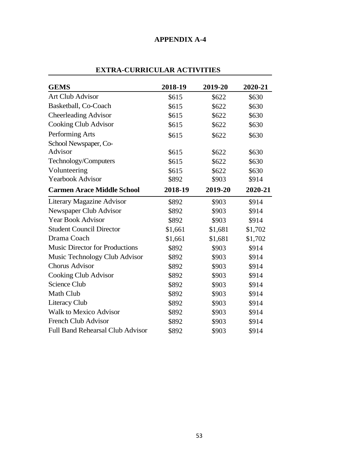## **APPENDIX A-4**

| <b>GEMS</b>                             | 2018-19 | 2019-20 | 2020-21 |
|-----------------------------------------|---------|---------|---------|
| <b>Art Club Advisor</b>                 | \$615   | \$622   | \$630   |
| Basketball, Co-Coach                    | \$615   | \$622   | \$630   |
| <b>Cheerleading Advisor</b>             | \$615   | \$622   | \$630   |
| <b>Cooking Club Advisor</b>             | \$615   | \$622   | \$630   |
| Performing Arts                         | \$615   | \$622   | \$630   |
| School Newspaper, Co-                   |         |         |         |
| Advisor                                 | \$615   | \$622   | \$630   |
| Technology/Computers                    | \$615   | \$622   | \$630   |
| Volunteering                            | \$615   | \$622   | \$630   |
| <b>Yearbook Advisor</b>                 | \$892   | \$903   | \$914   |
| <b>Carmen Arace Middle School</b>       | 2018-19 | 2019-20 | 2020-21 |
| <b>Literary Magazine Advisor</b>        | \$892   | \$903   | \$914   |
| Newspaper Club Advisor                  | \$892   | \$903   | \$914   |
| <b>Year Book Advisor</b>                | \$892   | \$903   | \$914   |
| <b>Student Council Director</b>         | \$1,661 | \$1,681 | \$1,702 |
| Drama Coach                             | \$1,661 | \$1,681 | \$1,702 |
| <b>Music Director for Productions</b>   | \$892   | \$903   | \$914   |
| Music Technology Club Advisor           | \$892   | \$903   | \$914   |
| <b>Chorus Advisor</b>                   | \$892   | \$903   | \$914   |
| <b>Cooking Club Advisor</b>             | \$892   | \$903   | \$914   |
| <b>Science Club</b>                     | \$892   | \$903   | \$914   |
| Math Club                               | \$892   | \$903   | \$914   |
| Literacy Club                           | \$892   | \$903   | \$914   |
| <b>Walk to Mexico Advisor</b>           | \$892   | \$903   | \$914   |
| <b>French Club Advisor</b>              | \$892   | \$903   | \$914   |
| <b>Full Band Rehearsal Club Advisor</b> | \$892   | \$903   | \$914   |

## **EXTRA-CURRICULAR ACTIVITIES**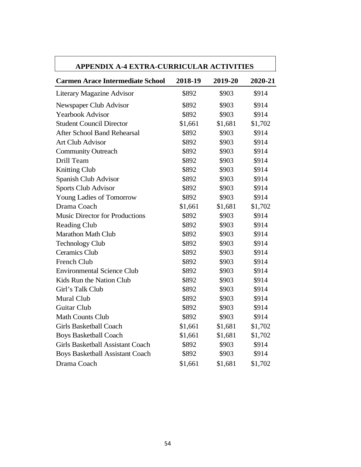| <b>APPENDIX A-4 EXTRA-CURRICULAR ACTIVITIES</b> |         |         |         |
|-------------------------------------------------|---------|---------|---------|
| <b>Carmen Arace Intermediate School</b>         | 2018-19 | 2019-20 | 2020-21 |
| <b>Literary Magazine Advisor</b>                | \$892   | \$903   | \$914   |
| Newspaper Club Advisor                          | \$892   | \$903   | \$914   |
| <b>Yearbook Advisor</b>                         | \$892   | \$903   | \$914   |
| <b>Student Council Director</b>                 | \$1,661 | \$1,681 | \$1,702 |
| <b>After School Band Rehearsal</b>              | \$892   | \$903   | \$914   |
| <b>Art Club Advisor</b>                         | \$892   | \$903   | \$914   |
| <b>Community Outreach</b>                       | \$892   | \$903   | \$914   |
| Drill Team                                      | \$892   | \$903   | \$914   |
| <b>Knitting Club</b>                            | \$892   | \$903   | \$914   |
| Spanish Club Advisor                            | \$892   | \$903   | \$914   |
| <b>Sports Club Advisor</b>                      | \$892   | \$903   | \$914   |
| Young Ladies of Tomorrow                        | \$892   | \$903   | \$914   |
| Drama Coach                                     | \$1,661 | \$1,681 | \$1,702 |
| <b>Music Director for Productions</b>           | \$892   | \$903   | \$914   |
| <b>Reading Club</b>                             | \$892   | \$903   | \$914   |
| <b>Marathon Math Club</b>                       | \$892   | \$903   | \$914   |
| <b>Technology Club</b>                          | \$892   | \$903   | \$914   |
| <b>Ceramics Club</b>                            | \$892   | \$903   | \$914   |
| <b>French Club</b>                              | \$892   | \$903   | \$914   |
| <b>Environmental Science Club</b>               | \$892   | \$903   | \$914   |
| Kids Run the Nation Club                        | \$892   | \$903   | \$914   |
| Girl's Talk Club                                | \$892   | \$903   | \$914   |
| Mural Club                                      | \$892   | \$903   | \$914   |
| <b>Guitar Club</b>                              | \$892   | \$903   | \$914   |
| <b>Math Counts Club</b>                         | \$892   | \$903   | \$914   |
| Girls Basketball Coach                          | \$1,661 | \$1,681 | \$1,702 |
| <b>Boys Basketball Coach</b>                    | \$1,661 | \$1,681 | \$1,702 |
| Girls Basketball Assistant Coach                | \$892   | \$903   | \$914   |
| <b>Boys Basketball Assistant Coach</b>          | \$892   | \$903   | \$914   |
| Drama Coach                                     | \$1,661 | \$1,681 | \$1,702 |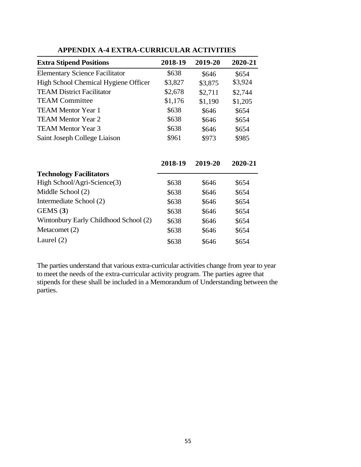| <b>Extra Stipend Positions</b>        | 2018-19 | 2019-20 | 2020-21 |
|---------------------------------------|---------|---------|---------|
| <b>Elementary Science Facilitator</b> | \$638   | \$646   | \$654   |
| High School Chemical Hygiene Officer  | \$3,827 | \$3,875 | \$3,924 |
| <b>TEAM District Facilitator</b>      | \$2,678 | \$2,711 | \$2,744 |
| <b>TEAM Committee</b>                 | \$1,176 | \$1,190 | \$1,205 |
| <b>TEAM Mentor Year 1</b>             | \$638   | \$646   | \$654   |
| TEAM Mentor Year 2                    | \$638   | \$646   | \$654   |
| <b>TEAM Mentor Year 3</b>             | \$638   | \$646   | \$654   |
| Saint Joseph College Liaison          | \$961   | \$973   | \$985   |
|                                       | 2018-19 | 2019-20 | 2020-21 |
| <b>Technology Facilitators</b>        |         |         |         |
| High School/Agri-Science(3)           | \$638   | \$646   | \$654   |
| Middle School (2)                     | \$638   | \$646   | \$654   |
| Intermediate School (2)               | \$638   | \$646   | \$654   |
| GEMS(3)                               | \$638   | \$646   | \$654   |

# **APPENDIX A-4 EXTRA-CURRICULAR ACTIVITIES**

|                                       | 2018-19 | 2019-20 | 2020-21 |
|---------------------------------------|---------|---------|---------|
| <b>Technology Facilitators</b>        |         |         |         |
| High School/Agri-Science(3)           | \$638   | \$646   | \$654   |
| Middle School (2)                     | \$638   | \$646   | \$654   |
| Intermediate School (2)               | \$638   | \$646   | \$654   |
| GEMS(3)                               | \$638   | \$646   | \$654   |
| Wintonbury Early Childhood School (2) | \$638   | \$646   | \$654   |
| Metacomet (2)                         | \$638   | \$646   | \$654   |
| Laurel $(2)$                          | \$638   | \$646   | \$654   |

The parties understand that various extra-curricular activities change from year to year to meet the needs of the extra-curricular activity program. The parties agree that stipends for these shall be included in a Memorandum of Understanding between the parties.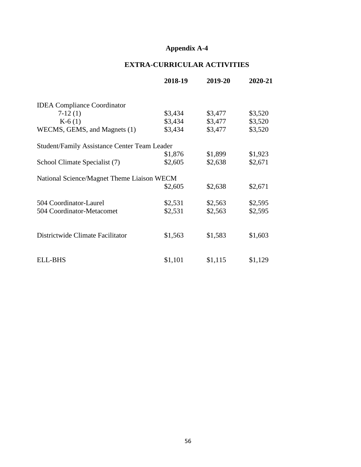## **Appendix A-4**

## **EXTRA-CURRICULAR ACTIVITIES**

|                                                     | 2018-19 | 2019-20 | 2020-21 |
|-----------------------------------------------------|---------|---------|---------|
| <b>IDEA</b> Compliance Coordinator                  |         |         |         |
| $7-12(1)$                                           | \$3,434 | \$3,477 | \$3,520 |
| $K-6(1)$                                            | \$3,434 | \$3,477 | \$3,520 |
| WECMS, GEMS, and Magnets (1)                        | \$3,434 | \$3,477 | \$3,520 |
| <b>Student/Family Assistance Center Team Leader</b> |         |         |         |
|                                                     | \$1,876 | \$1,899 | \$1,923 |
| School Climate Specialist (7)                       | \$2,605 | \$2,638 | \$2,671 |
| National Science/Magnet Theme Liaison WECM          |         |         |         |
|                                                     | \$2,605 | \$2,638 | \$2,671 |
| 504 Coordinator-Laurel                              | \$2,531 | \$2,563 | \$2,595 |
| 504 Coordinator-Metacomet                           | \$2,531 | \$2,563 | \$2,595 |
|                                                     |         |         |         |
| Districtwide Climate Facilitator                    | \$1,563 | \$1,583 | \$1,603 |
|                                                     |         |         |         |
| ELL-BHS                                             | \$1,101 | \$1,115 | \$1,129 |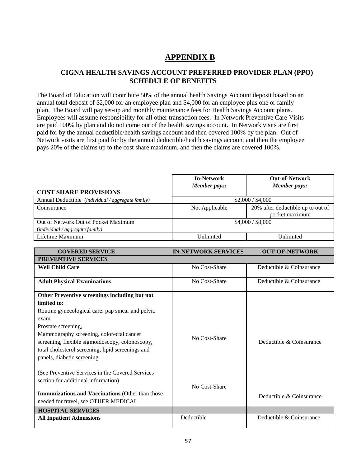## **APPENDIX B**

## **CIGNA HEALTH SAVINGS ACCOUNT PREFERRED PROVIDER PLAN (PPO) SCHEDULE OF BENEFITS**

The Board of Education will contribute 50% of the annual health Savings Account deposit based on an annual total deposit of \$2,000 for an employee plan and \$4,000 for an employee plus one or family plan. The Board will pay set-up and monthly maintenance fees for Health Savings Account plans. Employees will assume responsibility for all other transaction fees. In Network Preventive Care Visits are paid 100% by plan and do not come out of the health savings account. In Network visits are first paid for by the annual deductible/health savings account and then covered 100% by the plan. Out of Network visits are first paid for by the annual deductible/health savings account and then the employee pays 20% of the claims up to the cost share maximum, and then the claims are covered 100%.

| <b>COST SHARE PROVISIONS</b>                               | <b>In-Network</b><br>Member pays: | <b>Out-of-Network</b><br>Member pays: |  |
|------------------------------------------------------------|-----------------------------------|---------------------------------------|--|
| Annual Deductible (individual/aggregate family)            | \$2,000 / \$4,000                 |                                       |  |
| Coinsurance                                                | Not Applicable                    | 20% after deductible up to out of     |  |
|                                                            |                                   | pocket maximum                        |  |
| Out of Network Out of Pocket Maximum                       | \$4,000 / \$8,000                 |                                       |  |
| $\left(\text{individual} / \text{aggregate family}\right)$ |                                   |                                       |  |
| Lifetime Maximum                                           | Unlimited                         | Unlimited                             |  |

| <b>COVERED SERVICE</b>                                  | <b>IN-NETWORK SERVICES</b> | <b>OUT-OF-NETWORK</b>    |
|---------------------------------------------------------|----------------------------|--------------------------|
| <b>PREVENTIVE SERVICES</b>                              |                            |                          |
| <b>Well Child Care</b>                                  | No Cost-Share              | Deductible & Coinsurance |
|                                                         | No Cost-Share              | Deductible & Coinsurance |
| <b>Adult Physical Examinations</b>                      |                            |                          |
| Other Preventive screenings including but not           |                            |                          |
| limited to:                                             |                            |                          |
| Routine gynecological care: pap smear and pelvic        |                            |                          |
| exam,                                                   |                            |                          |
| Prostate screening,                                     |                            |                          |
| Mammography screening, colorectal cancer                | No Cost-Share              |                          |
| screening, flexible sigmoidoscopy, colonoscopy,         |                            | Deductible & Coinsurance |
| total cholesterol screening, lipid screenings and       |                            |                          |
| panels, diabetic screening                              |                            |                          |
|                                                         |                            |                          |
| (See Preventive Services in the Covered Services        |                            |                          |
| section for additional information)                     |                            |                          |
|                                                         | No Cost-Share              |                          |
| <b>Immunizations and Vaccinations (Other than those</b> |                            | Deductible & Coinsurance |
| needed for travel, see OTHER MEDICAL                    |                            |                          |
| <b>HOSPITAL SERVICES</b>                                |                            |                          |
| <b>All Inpatient Admissions</b>                         | Deductible                 | Deductible & Coinsurance |
|                                                         |                            |                          |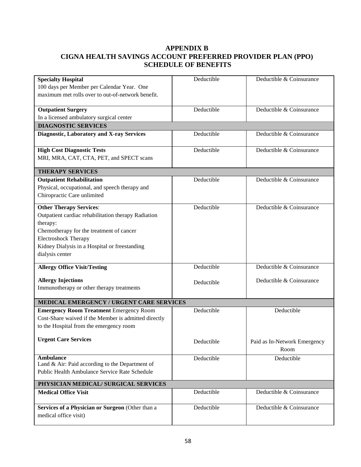## **APPENDIX B CIGNA HEALTH SAVINGS ACCOUNT PREFERRED PROVIDER PLAN (PPO) SCHEDULE OF BENEFITS**

| <b>Specialty Hospital</b>                                             | Deductible | Deductible & Coinsurance     |
|-----------------------------------------------------------------------|------------|------------------------------|
| 100 days per Member per Calendar Year. One                            |            |                              |
| maximum met rolls over to out-of-network benefit.                     |            |                              |
|                                                                       | Deductible | Deductible & Coinsurance     |
| <b>Outpatient Surgery</b><br>In a licensed ambulatory surgical center |            |                              |
| <b>DIAGNOSTIC SERVICES</b>                                            |            |                              |
| <b>Diagnostic, Laboratory and X-ray Services</b>                      | Deductible | Deductible & Coinsurance     |
|                                                                       |            |                              |
| <b>High Cost Diagnostic Tests</b>                                     | Deductible | Deductible & Coinsurance     |
| MRI, MRA, CAT, CTA, PET, and SPECT scans                              |            |                              |
| <b>THERAPY SERVICES</b>                                               |            |                              |
| <b>Outpatient Rehabilitation</b>                                      | Deductible | Deductible & Coinsurance     |
| Physical, occupational, and speech therapy and                        |            |                              |
| Chiropractic Care unlimited                                           |            |                              |
| <b>Other Therapy Services:</b>                                        | Deductible | Deductible & Coinsurance     |
| Outpatient cardiac rehabilitation therapy Radiation                   |            |                              |
| therapy:                                                              |            |                              |
| Chemotherapy for the treatment of cancer                              |            |                              |
| <b>Electroshock Therapy</b>                                           |            |                              |
| Kidney Dialysis in a Hospital or freestanding                         |            |                              |
| dialysis center                                                       |            |                              |
| <b>Allergy Office Visit/Testing</b>                                   | Deductible | Deductible & Coinsurance     |
| <b>Allergy Injections</b>                                             |            | Deductible & Coinsurance     |
| Immunotherapy or other therapy treatments                             | Deductible |                              |
|                                                                       |            |                              |
| MEDICAL EMERGENCY / URGENT CARE SERVICES                              |            |                              |
| <b>Emergency Room Treatment Emergency Room</b>                        | Deductible | Deductible                   |
| Cost-Share waived if the Member is admitted directly                  |            |                              |
| to the Hospital from the emergency room                               |            |                              |
| <b>Urgent Care Services</b>                                           | Deductible | Paid as In-Network Emergency |
|                                                                       |            | Room                         |
| <b>Ambulance</b>                                                      | Deductible | Deductible                   |
| Land & Air: Paid according to the Department of                       |            |                              |
| Public Health Ambulance Service Rate Schedule                         |            |                              |
| PHYSICIAN MEDICAL/ SURGICAL SERVICES                                  |            |                              |
| <b>Medical Office Visit</b>                                           | Deductible | Deductible & Coinsurance     |
|                                                                       |            |                              |
| Services of a Physician or Surgeon (Other than a                      | Deductible | Deductible & Coinsurance     |
| medical office visit)                                                 |            |                              |
|                                                                       |            |                              |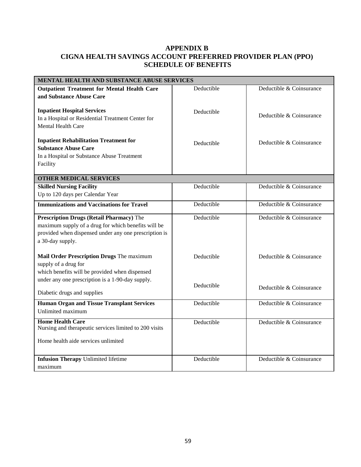## **APPENDIX B CIGNA HEALTH SAVINGS ACCOUNT PREFERRED PROVIDER PLAN (PPO) SCHEDULE OF BENEFITS**

| MENTAL HEALTH AND SUBSTANCE ABUSE SERVICES             |            |                          |
|--------------------------------------------------------|------------|--------------------------|
| <b>Outpatient Treatment for Mental Health Care</b>     | Deductible | Deductible & Coinsurance |
| and Substance Abuse Care                               |            |                          |
|                                                        |            |                          |
| <b>Inpatient Hospital Services</b>                     | Deductible |                          |
| In a Hospital or Residential Treatment Center for      |            | Deductible & Coinsurance |
| <b>Mental Health Care</b>                              |            |                          |
|                                                        |            |                          |
| <b>Inpatient Rehabilitation Treatment for</b>          | Deductible | Deductible & Coinsurance |
| <b>Substance Abuse Care</b>                            |            |                          |
| In a Hospital or Substance Abuse Treatment             |            |                          |
| Facility                                               |            |                          |
|                                                        |            |                          |
| <b>OTHER MEDICAL SERVICES</b>                          |            |                          |
| <b>Skilled Nursing Facility</b>                        | Deductible | Deductible & Coinsurance |
| Up to 120 days per Calendar Year                       |            |                          |
| <b>Immunizations and Vaccinations for Travel</b>       | Deductible | Deductible & Coinsurance |
|                                                        |            |                          |
| <b>Prescription Drugs (Retail Pharmacy)</b> The        | Deductible | Deductible & Coinsurance |
| maximum supply of a drug for which benefits will be    |            |                          |
| provided when dispensed under any one prescription is  |            |                          |
| a 30-day supply.                                       |            |                          |
|                                                        |            |                          |
| Mail Order Prescription Drugs The maximum              | Deductible | Deductible & Coinsurance |
| supply of a drug for                                   |            |                          |
| which benefits will be provided when dispensed         |            |                          |
| under any one prescription is a 1-90-day supply.       |            |                          |
|                                                        | Deductible | Deductible & Coinsurance |
| Diabetic drugs and supplies                            |            |                          |
| <b>Human Organ and Tissue Transplant Services</b>      | Deductible | Deductible & Coinsurance |
| Unlimited maximum                                      |            |                          |
| <b>Home Health Care</b>                                | Deductible | Deductible & Coinsurance |
| Nursing and therapeutic services limited to 200 visits |            |                          |
|                                                        |            |                          |
| Home health aide services unlimited                    |            |                          |
|                                                        |            |                          |
| <b>Infusion Therapy Unlimited lifetime</b>             | Deductible | Deductible & Coinsurance |
| maximum                                                |            |                          |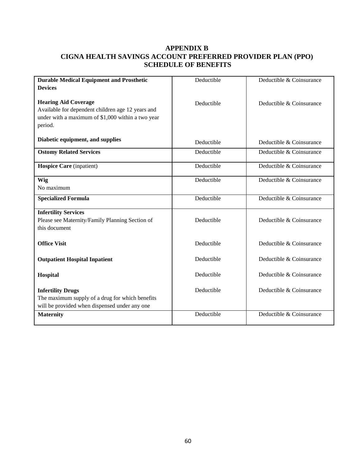## **APPENDIX B CIGNA HEALTH SAVINGS ACCOUNT PREFERRED PROVIDER PLAN (PPO) SCHEDULE OF BENEFITS**

| <b>Durable Medical Equipment and Prosthetic</b>                                                                                                  | Deductible | Deductible & Coinsurance |
|--------------------------------------------------------------------------------------------------------------------------------------------------|------------|--------------------------|
| <b>Devices</b>                                                                                                                                   |            |                          |
| <b>Hearing Aid Coverage</b><br>Available for dependent children age 12 years and<br>under with a maximum of \$1,000 within a two year<br>period. | Deductible | Deductible & Coinsurance |
| Diabetic equipment, and supplies                                                                                                                 | Deductible | Deductible & Coinsurance |
| <b>Ostomy Related Services</b>                                                                                                                   | Deductible | Deductible & Coinsurance |
| <b>Hospice Care</b> (inpatient)                                                                                                                  | Deductible | Deductible & Coinsurance |
| Wig<br>No maximum                                                                                                                                | Deductible | Deductible & Coinsurance |
| <b>Specialized Formula</b>                                                                                                                       | Deductible | Deductible & Coinsurance |
| <b>Infertility Services</b><br>Please see Maternity/Family Planning Section of<br>this document                                                  | Deductible | Deductible & Coinsurance |
| <b>Office Visit</b>                                                                                                                              | Deductible | Deductible & Coinsurance |
| <b>Outpatient Hospital Inpatient</b>                                                                                                             | Deductible | Deductible & Coinsurance |
| Hospital                                                                                                                                         | Deductible | Deductible & Coinsurance |
| <b>Infertility Drugs</b><br>The maximum supply of a drug for which benefits<br>will be provided when dispensed under any one                     | Deductible | Deductible & Coinsurance |
| <b>Maternity</b>                                                                                                                                 | Deductible | Deductible & Coinsurance |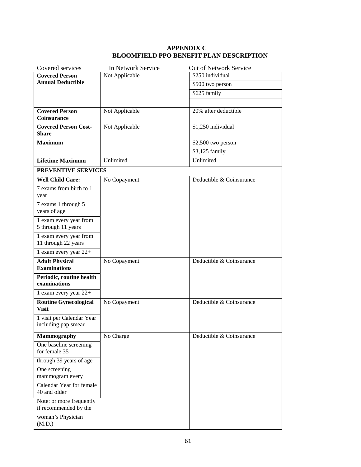#### **APPENDIX C BLOOMFIELD PPO BENEFIT PLAN DESCRIPTION**

| Covered services                                  | In Network Service | Out of Network Service   |
|---------------------------------------------------|--------------------|--------------------------|
| <b>Covered Person</b>                             | Not Applicable     | \$250 individual         |
| <b>Annual Deductible</b>                          |                    | \$500 two person         |
|                                                   |                    | \$625 family             |
|                                                   |                    |                          |
| <b>Covered Person</b><br>Coinsurance              | Not Applicable     | 20% after deductible     |
| <b>Covered Person Cost-</b><br>Share              | Not Applicable     | \$1,250 individual       |
| <b>Maximum</b>                                    |                    | \$2,500 two person       |
|                                                   |                    | \$3,125 family           |
| <b>Lifetime Maximum</b>                           | Unlimited          | Unlimited                |
| PREVENTIVE SERVICES                               |                    |                          |
| <b>Well Child Care:</b>                           | No Copayment       | Deductible & Coinsurance |
| 7 exams from birth to 1<br>year                   |                    |                          |
| 7 exams 1 through 5<br>years of age               |                    |                          |
| 1 exam every year from<br>5 through 11 years      |                    |                          |
| 1 exam every year from<br>11 through 22 years     |                    |                          |
| 1 exam every year 22+                             |                    |                          |
| <b>Adult Physical</b><br><b>Examinations</b>      | No Copayment       | Deductible & Coinsurance |
| Periodic, routine health<br>examinations          |                    |                          |
| 1 exam every year 22+                             |                    |                          |
| <b>Routine Gynecological</b><br><b>Visit</b>      | No Copayment       | Deductible & Coinsurance |
| 1 visit per Calendar Year<br>including pap smear  |                    |                          |
| <b>Mammography</b>                                | No Charge          | Deductible & Coinsurance |
| One baseline screening<br>for female 35           |                    |                          |
| through 39 years of age                           |                    |                          |
| One screening<br>mammogram every                  |                    |                          |
| Calendar Year for female<br>40 and older          |                    |                          |
| Note: or more frequently<br>if recommended by the |                    |                          |
| woman's Physician<br>(M.D.)                       |                    |                          |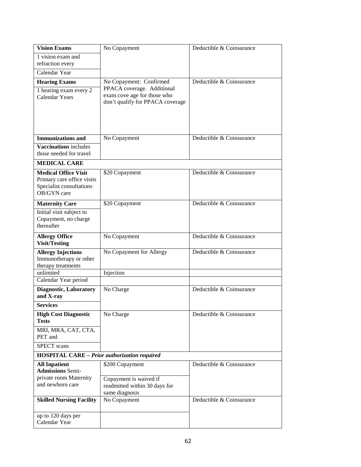| <b>Vision Exams</b>                                 | No Copayment                                                                                  | Deductible & Coinsurance |
|-----------------------------------------------------|-----------------------------------------------------------------------------------------------|--------------------------|
| 1 vision exam and                                   |                                                                                               |                          |
| refraction every                                    |                                                                                               |                          |
| Calendar Year                                       |                                                                                               |                          |
| <b>Hearing Exams</b>                                | No Copayment: Confirmed                                                                       | Deductible & Coinsurance |
| 1 hearing exam every 2<br><b>Calendar Years</b>     | PPACA coverage. Additional<br>exam cove age for those who<br>don't qualify for PPACA coverage |                          |
| <b>Immunizations and</b>                            | No Copayment                                                                                  | Deductible & Coinsurance |
| <b>Vaccinations</b> includes                        |                                                                                               |                          |
| those needed for travel                             |                                                                                               |                          |
| <b>MEDICAL CARE</b>                                 |                                                                                               |                          |
| <b>Medical Office Visit</b>                         | \$20 Copayment                                                                                | Deductible & Coinsurance |
| Primary care office visits                          |                                                                                               |                          |
| Specialist consultations<br>OB/GYN care             |                                                                                               |                          |
|                                                     |                                                                                               |                          |
| <b>Maternity Care</b>                               | \$20 Copayment                                                                                | Deductible & Coinsurance |
| Initial visit subject to<br>Copayment, no charge    |                                                                                               |                          |
| thereafter                                          |                                                                                               |                          |
|                                                     | No Copayment                                                                                  | Deductible & Coinsurance |
| <b>Allergy Office</b><br><b>Visit/Testing</b>       |                                                                                               |                          |
| <b>Allergy Injections</b>                           | No Copayment for Allergy                                                                      | Deductible & Coinsurance |
| Immunotherapy or other                              |                                                                                               |                          |
| therapy treatments                                  |                                                                                               |                          |
| unlimited                                           | Injection                                                                                     |                          |
| Calendar Year period                                |                                                                                               |                          |
| Diagnostic, Laboratory<br>and X-ray                 | No Charge                                                                                     | Deductible & Coinsurance |
| <b>Services</b>                                     |                                                                                               |                          |
|                                                     |                                                                                               |                          |
| <b>High Cost Diagnostic</b><br><b>Tests</b>         | No Charge                                                                                     | Deductible & Coinsurance |
| MRI, MRA, CAT, CTA,<br>PET and                      |                                                                                               |                          |
| <b>SPECT</b> scans                                  |                                                                                               |                          |
| <b>HOSPITAL CARE - Prior authorization required</b> |                                                                                               |                          |
| <b>All Inpatient</b>                                | \$200 Copayment                                                                               | Deductible & Coinsurance |
| <b>Admissions Semi-</b>                             |                                                                                               |                          |
| private room Maternity<br>and newborn care          | Copayment is waived if                                                                        |                          |
|                                                     | readmitted within 30 days for<br>same diagnosis                                               |                          |
| <b>Skilled Nursing Facility</b>                     | No Copayment                                                                                  | Deductible & Coinsurance |
|                                                     |                                                                                               |                          |
| up to 120 days per                                  |                                                                                               |                          |
| Calendar Year                                       |                                                                                               |                          |
|                                                     |                                                                                               |                          |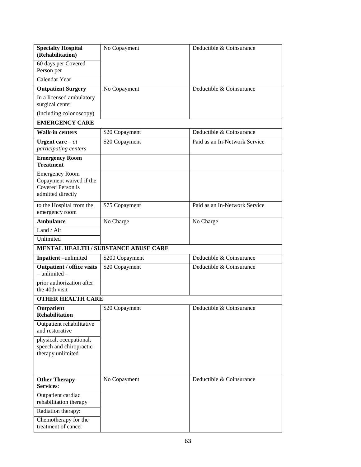| <b>Specialty Hospital</b>                                               | No Copayment                         | Deductible & Coinsurance      |
|-------------------------------------------------------------------------|--------------------------------------|-------------------------------|
| (Rehabilitation)                                                        |                                      |                               |
| 60 days per Covered<br>Person per                                       |                                      |                               |
| Calendar Year                                                           |                                      |                               |
| <b>Outpatient Surgery</b>                                               | No Copayment                         | Deductible & Coinsurance      |
| In a licensed ambulatory                                                |                                      |                               |
| surgical center                                                         |                                      |                               |
| (including colonoscopy)                                                 |                                      |                               |
| <b>EMERGENCY CARE</b>                                                   |                                      |                               |
| <b>Walk-in centers</b>                                                  | \$20 Copayment                       | Deductible & Coinsurance      |
| Urgent care $-at$                                                       | \$20 Copayment                       | Paid as an In-Network Service |
| participating centers                                                   |                                      |                               |
| <b>Emergency Room</b><br><b>Treatment</b>                               |                                      |                               |
| <b>Emergency Room</b><br>Copayment waived if the                        |                                      |                               |
| Covered Person is                                                       |                                      |                               |
| admitted directly                                                       |                                      |                               |
| to the Hospital from the                                                | \$75 Copayment                       | Paid as an In-Network Service |
| emergency room                                                          |                                      |                               |
| <b>Ambulance</b>                                                        | No Charge                            | No Charge                     |
| Land / Air                                                              |                                      |                               |
| Unlimited                                                               |                                      |                               |
|                                                                         | MENTAL HEALTH / SUBSTANCE ABUSE CARE |                               |
| Inpatient -unlimited                                                    | \$200 Copayment                      | Deductible & Coinsurance      |
| <b>Outpatient / office visits</b><br>$-$ unlimited $-$                  | \$20 Copayment                       | Deductible & Coinsurance      |
| prior authorization after                                               |                                      |                               |
| the 40th visit                                                          |                                      |                               |
| <b>OTHER HEALTH CARE</b>                                                |                                      |                               |
| Outpatient<br><b>Rehabilitation</b>                                     | \$20 Copayment                       | Deductible & Coinsurance      |
| Outpatient rehabilitative<br>and restorative                            |                                      |                               |
| physical, occupational,<br>speech and chiropractic<br>therapy unlimited |                                      |                               |
| <b>Other Therapy</b><br>Services:                                       | No Copayment                         | Deductible $\&$ Coinsurance   |
| Outpatient cardiac                                                      |                                      |                               |
| rehabilitation therapy                                                  |                                      |                               |
| Radiation therapy:                                                      |                                      |                               |
| Chemotherapy for the<br>treatment of cancer                             |                                      |                               |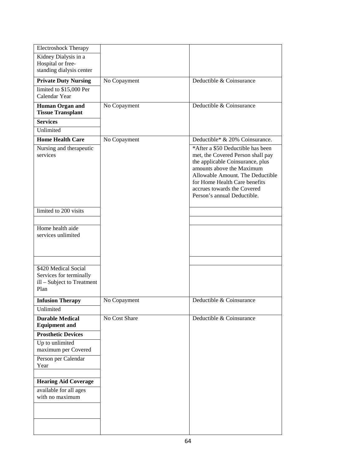| <b>Electroshock Therapy</b>                                                           |               |                                                                                                                                                                                                                                                                            |
|---------------------------------------------------------------------------------------|---------------|----------------------------------------------------------------------------------------------------------------------------------------------------------------------------------------------------------------------------------------------------------------------------|
| Kidney Dialysis in a<br>Hospital or free-<br>standing dialysis center                 |               |                                                                                                                                                                                                                                                                            |
| <b>Private Duty Nursing</b>                                                           | No Copayment  | Deductible & Coinsurance                                                                                                                                                                                                                                                   |
| limited to \$15,000 Per<br>Calendar Year                                              |               |                                                                                                                                                                                                                                                                            |
| Human Organ and<br><b>Tissue Transplant</b>                                           | No Copayment  | Deductible & Coinsurance                                                                                                                                                                                                                                                   |
| <b>Services</b>                                                                       |               |                                                                                                                                                                                                                                                                            |
| Unlimited                                                                             |               |                                                                                                                                                                                                                                                                            |
| <b>Home Health Care</b>                                                               | No Copayment  | Deductible* & 20% Coinsurance.                                                                                                                                                                                                                                             |
| Nursing and therapeutic<br>services                                                   |               | *After a \$50 Deductible has been<br>met, the Covered Person shall pay<br>the applicable Coinsurance, plus<br>amounts above the Maximum<br>Allowable Amount. The Deductible<br>for Home Health Care benefits<br>accrues towards the Covered<br>Person's annual Deductible. |
| limited to 200 visits                                                                 |               |                                                                                                                                                                                                                                                                            |
|                                                                                       |               |                                                                                                                                                                                                                                                                            |
| Home health aide<br>services unlimited                                                |               |                                                                                                                                                                                                                                                                            |
|                                                                                       |               |                                                                                                                                                                                                                                                                            |
| \$420 Medical Social<br>Services for terminally<br>ill - Subject to Treatment<br>Plan |               |                                                                                                                                                                                                                                                                            |
| <b>Infusion Therapy</b>                                                               | No Copayment  | Deductible $\&$ Coinsurance                                                                                                                                                                                                                                                |
| Unlimited                                                                             |               |                                                                                                                                                                                                                                                                            |
| <b>Durable Medical</b><br><b>Equipment and</b>                                        | No Cost Share | Deductible & Coinsurance                                                                                                                                                                                                                                                   |
| <b>Prosthetic Devices</b>                                                             |               |                                                                                                                                                                                                                                                                            |
| Up to unlimited<br>maximum per Covered                                                |               |                                                                                                                                                                                                                                                                            |
| Person per Calendar<br>Year                                                           |               |                                                                                                                                                                                                                                                                            |
| <b>Hearing Aid Coverage</b>                                                           |               |                                                                                                                                                                                                                                                                            |
| available for all ages<br>with no maximum                                             |               |                                                                                                                                                                                                                                                                            |
|                                                                                       |               |                                                                                                                                                                                                                                                                            |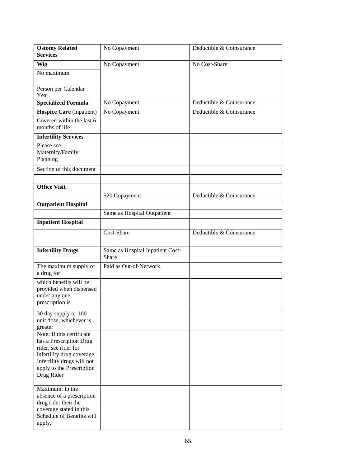| <b>Ostomy Related</b>                                                                                                                                                               | No Copayment                              | Deductible & Coinsurance |
|-------------------------------------------------------------------------------------------------------------------------------------------------------------------------------------|-------------------------------------------|--------------------------|
| <b>Services</b>                                                                                                                                                                     |                                           |                          |
| Wig                                                                                                                                                                                 | No Copayment                              | No Cost-Share            |
| No maximum                                                                                                                                                                          |                                           |                          |
| Person per Calendar<br>Year.                                                                                                                                                        |                                           |                          |
| <b>Specialized Formula</b>                                                                                                                                                          | No Copayment                              | Deductible & Coinsurance |
| Hospice Care (inpatient)                                                                                                                                                            | No Copayment                              | Deductible & Coinsurance |
| Covered within the last 6<br>months of life                                                                                                                                         |                                           |                          |
| <b>Infertility Services</b>                                                                                                                                                         |                                           |                          |
| Please see<br>Maternity/Family<br>Planning                                                                                                                                          |                                           |                          |
| Section of this document                                                                                                                                                            |                                           |                          |
|                                                                                                                                                                                     |                                           |                          |
| <b>Office Visit</b>                                                                                                                                                                 |                                           |                          |
|                                                                                                                                                                                     | \$20 Copayment                            | Deductible & Coinsurance |
| <b>Outpatient Hospital</b>                                                                                                                                                          |                                           |                          |
|                                                                                                                                                                                     | Same as Hospital Outpatient               |                          |
| <b>Inpatient Hospital</b>                                                                                                                                                           |                                           |                          |
|                                                                                                                                                                                     | Cost-Share                                | Deductible & Coinsurance |
|                                                                                                                                                                                     |                                           |                          |
| <b>Infertility Drugs</b>                                                                                                                                                            | Same as Hospital Inpatient Cost-<br>Share |                          |
| The maximum supply of<br>a drug for                                                                                                                                                 | Paid as Out-of-Network                    |                          |
| which benefits will be<br>provided when dispensed<br>under any one<br>prescription is                                                                                               |                                           |                          |
| 30 day supply or 100<br>unit dose, whichever is<br>greater                                                                                                                          |                                           |                          |
| Note: If this certificate<br>has a Prescription Drug<br>rider, see rider for<br>infertility drug coverage.<br>Infertility drugs will not<br>apply to the Prescription<br>Drug Rider |                                           |                          |
| Maximum. In the<br>absence of a prescription<br>drug rider then the<br>coverage stated in this<br>Schedule of Benefits will<br>apply.                                               |                                           |                          |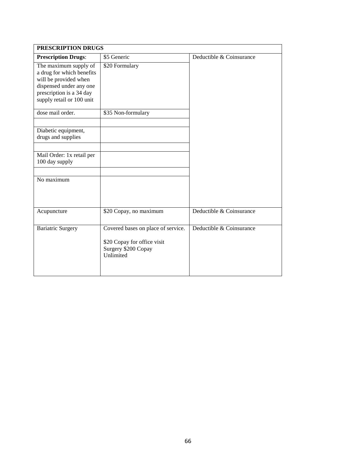| PRESCRIPTION DRUGS                                                                                                                                              |                                                                                                       |                          |
|-----------------------------------------------------------------------------------------------------------------------------------------------------------------|-------------------------------------------------------------------------------------------------------|--------------------------|
| <b>Prescription Drugs:</b>                                                                                                                                      | \$5 Generic                                                                                           | Deductible & Coinsurance |
| The maximum supply of<br>a drug for which benefits<br>will be provided when<br>dispensed under any one<br>prescription is a 34 day<br>supply retail or 100 unit | \$20 Formulary                                                                                        |                          |
| dose mail order.                                                                                                                                                | \$35 Non-formulary                                                                                    |                          |
| Diabetic equipment,<br>drugs and supplies                                                                                                                       |                                                                                                       |                          |
| Mail Order: 1x retail per<br>100 day supply                                                                                                                     |                                                                                                       |                          |
| No maximum                                                                                                                                                      |                                                                                                       |                          |
| Acupuncture                                                                                                                                                     | \$20 Copay, no maximum                                                                                | Deductible & Coinsurance |
| <b>Bariatric Surgery</b>                                                                                                                                        | Covered bases on place of service.<br>\$20 Copay for office visit<br>Surgery \$200 Copay<br>Unlimited | Deductible & Coinsurance |